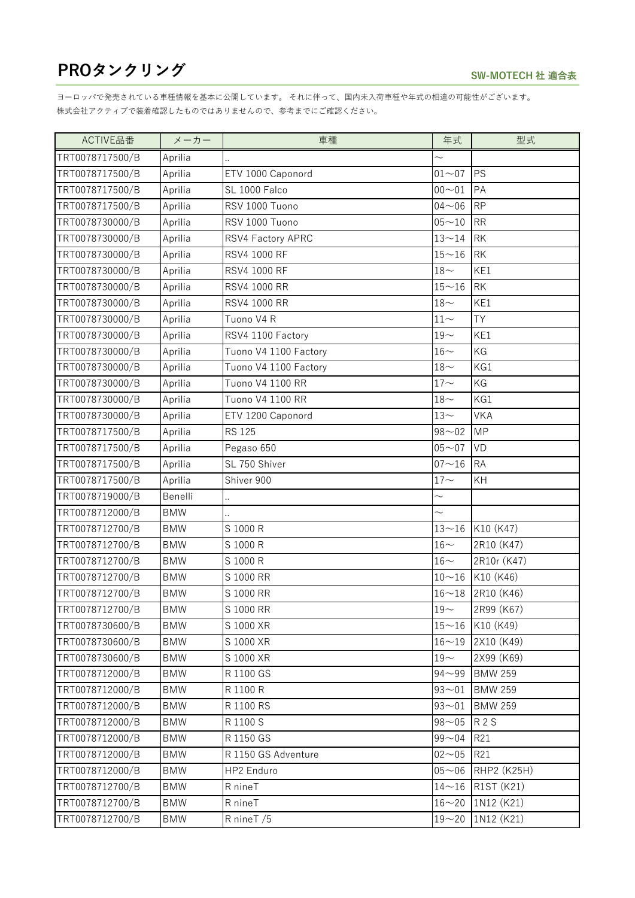| ACTIVE品番        | メーカー       | 車種                    | 年式                  | 型式             |
|-----------------|------------|-----------------------|---------------------|----------------|
| TRT0078717500/B | Aprilia    |                       | $\sim$              |                |
| TRT0078717500/B | Aprilia    | ETV 1000 Caponord     | $01 - 07$           | <b>PS</b>      |
| TRT0078717500/B | Aprilia    | SL 1000 Falco         | $00 - 01$           | PA             |
| TRT0078717500/B | Aprilia    | RSV 1000 Tuono        | $04 - 06$           | <b>RP</b>      |
| TRT0078730000/B | Aprilia    | RSV 1000 Tuono        | $05 - 10$           | <b>RR</b>      |
| TRT0078730000/B | Aprilia    | RSV4 Factory APRC     | $13 - 14$           | <b>RK</b>      |
| TRT0078730000/B | Aprilia    | RSV4 1000 RF          | $15\mathtt{\sim}16$ | <b>RK</b>      |
| TRT0078730000/B | Aprilia    | RSV4 1000 RF          | $18-$               | KE1            |
| TRT0078730000/B | Aprilia    | RSV4 1000 RR          | $15 - 16$           | <b>RK</b>      |
| TRT0078730000/B | Aprilia    | RSV4 1000 RR          | $18-$               | KE1            |
| TRT0078730000/B | Aprilia    | Tuono V4 R            | $11\!\sim\!$        | <b>TY</b>      |
| TRT0078730000/B | Aprilia    | RSV4 1100 Factory     | $19-$               | KE1            |
| TRT0078730000/B | Aprilia    | Tuono V4 1100 Factory | $16-$               | KG             |
| TRT0078730000/B | Aprilia    | Tuono V4 1100 Factory | $18-$               | KG1            |
| TRT0078730000/B | Aprilia    | Tuono V4 1100 RR      | $17 -$              | KG             |
| TRT0078730000/B | Aprilia    | Tuono V4 1100 RR      | $18-$               | KG1            |
| TRT0078730000/B | Aprilia    | ETV 1200 Caponord     | $13-$               | <b>VKA</b>     |
| TRT0078717500/B | Aprilia    | <b>RS 125</b>         | $98 - 02$           | <b>MP</b>      |
| TRT0078717500/B | Aprilia    | Pegaso 650            | $05 - 07$           | VD             |
| TRT0078717500/B | Aprilia    | SL 750 Shiver         | $07 - 16$           | <b>RA</b>      |
| TRT0078717500/B | Aprilia    | Shiver 900            | $17-$               | KH             |
| TRT0078719000/B | Benelli    |                       | $\sim$              |                |
| TRT0078712000/B | <b>BMW</b> |                       | $\sim$              |                |
| TRT0078712700/B | <b>BMW</b> | S 1000 R              | $13 - 16$           | K10 (K47)      |
| TRT0078712700/B | <b>BMW</b> | S 1000 R              | $16-$               | 2R10 (K47)     |
| TRT0078712700/B | <b>BMW</b> | S 1000 R              | $16\mathord{\sim}$  | 2R10r (K47)    |
| TRT0078712700/B | <b>BMW</b> | S 1000 RR             | $10 - 16$           | K10 (K46)      |
| TRT0078712700/B | <b>BMW</b> | S 1000 RR             | $16 - 18$           | 2R10 (K46)     |
| TRT0078712700/B | <b>BMW</b> | S 1000 RR             | $19-$               | 2R99 (K67)     |
| TRT0078730600/B | BMW        | S 1000 XR             | $15 - 16$           | K10 (K49)      |
| TRT0078730600/B | <b>BMW</b> | S 1000 XR             | $16 - 19$           | 2X10 (K49)     |
| TRT0078730600/B | <b>BMW</b> | S 1000 XR             | $19-$               | 2X99 (K69)     |
| TRT0078712000/B | <b>BMW</b> | R 1100 GS             | $94 - 99$           | <b>BMW 259</b> |
| TRT0078712000/B | <b>BMW</b> | R 1100 R              | $93 - 01$           | <b>BMW 259</b> |
| TRT0078712000/B | <b>BMW</b> | R 1100 RS             | $93 - 01$           | <b>BMW 259</b> |
| TRT0078712000/B | <b>BMW</b> | R 1100 S              | $98 - 05$           | <b>R2S</b>     |
| TRT0078712000/B | <b>BMW</b> | R 1150 GS             | $99 - 04$           | R21            |
| TRT0078712000/B | <b>BMW</b> | R 1150 GS Adventure   | $02 - 05$           | R21            |
| TRT0078712000/B | <b>BMW</b> | HP2 Enduro            | $05 - 06$           | RHP2 (K25H)    |
| TRT0078712700/B | <b>BMW</b> | R nineT               | $14 - 16$           | R1ST (K21)     |
| TRT0078712700/B | <b>BMW</b> | R nineT               | $16 - 20$           | 1N12 (K21)     |
| TRT0078712700/B | <b>BMW</b> | R nineT /5            | $19 - 20$           | 1N12 (K21)     |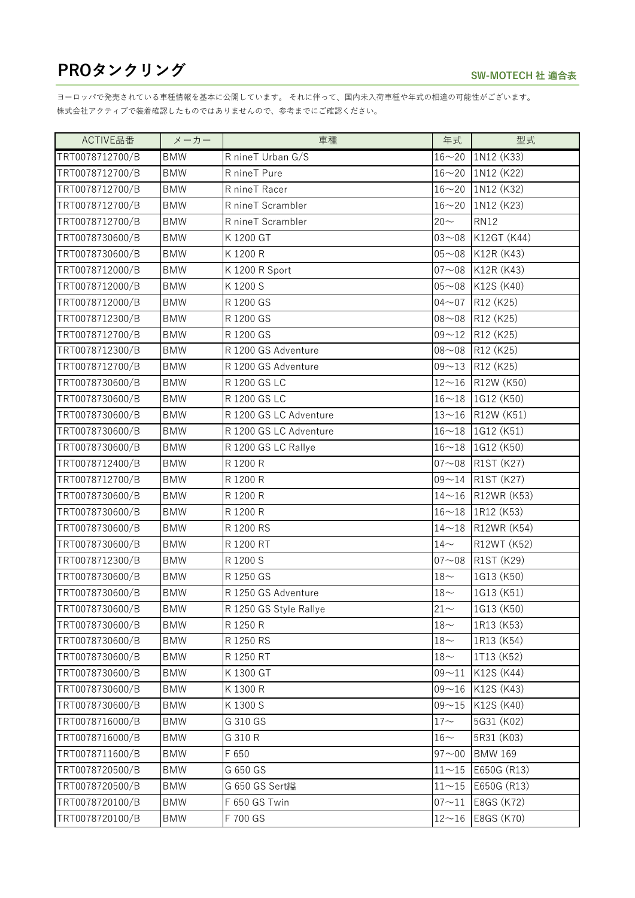| ACTIVE品番        | メーカー       | 車種                     | 年式                  | 型式                   |
|-----------------|------------|------------------------|---------------------|----------------------|
| TRT0078712700/B | <b>BMW</b> | R nineT Urban G/S      |                     | $16 - 20$ 1N12 (K33) |
| TRT0078712700/B | <b>BMW</b> | R nineT Pure           | $16 - 20$           | 1N12 (K22)           |
| TRT0078712700/B | <b>BMW</b> | R nineT Racer          | $16 - 20$           | 1N12 (K32)           |
| TRT0078712700/B | <b>BMW</b> | R nineT Scrambler      | $16 - 20$           | 1N12 (K23)           |
| TRT0078712700/B | <b>BMW</b> | R nineT Scrambler      | $20 -$              | <b>RN12</b>          |
| TRT0078730600/B | <b>BMW</b> | K 1200 GT              | $03 - 08$           | K12GT (K44)          |
| TRT0078730600/B | <b>BMW</b> | K 1200 R               | $05 - 08$           | K12R (K43)           |
| TRT0078712000/B | <b>BMW</b> | K 1200 R Sport         | $07 - 08$           | K12R (K43)           |
| TRT0078712000/B | <b>BMW</b> | K 1200 S               | $05 - 08$           | K12S (K40)           |
| TRT0078712000/B | <b>BMW</b> | R 1200 GS              | $04 - 07$           | R12 (K25)            |
| TRT0078712300/B | <b>BMW</b> | R 1200 GS              | $08 - 08$           | R12 (K25)            |
| TRT0078712700/B | <b>BMW</b> | R 1200 GS              | $09 - 12$           | R12 (K25)            |
| TRT0078712300/B | <b>BMW</b> | R 1200 GS Adventure    | $08 - 08$           | R12 (K25)            |
| TRT0078712700/B | <b>BMW</b> | R 1200 GS Adventure    | $09 - 13$           | R12 (K25)            |
| TRT0078730600/B | <b>BMW</b> | R 1200 GS LC           | $12 - 16$           | R12W (K50)           |
| TRT0078730600/B | <b>BMW</b> | R 1200 GS LC           | $16 - 18$           | 1G12 (K50)           |
| TRT0078730600/B | <b>BMW</b> | R 1200 GS LC Adventure | $13 - 16$           | R12W (K51)           |
| TRT0078730600/B | <b>BMW</b> | R 1200 GS LC Adventure | $16 - 18$           | 1G12 (K51)           |
| TRT0078730600/B | <b>BMW</b> | R 1200 GS LC Rallye    | $16 - 18$           | 1G12 (K50)           |
| TRT0078712400/B | <b>BMW</b> | R 1200 R               | $07 - 08$           | R1ST (K27)           |
| TRT0078712700/B | <b>BMW</b> | R 1200 R               | $09 - 14$           | R1ST (K27)           |
| TRT0078730600/B | <b>BMW</b> | R 1200 R               | $14 - 16$           | R12WR (K53)          |
| TRT0078730600/B | <b>BMW</b> | R 1200 R               |                     | $16~18$ 1R12 (K53)   |
| TRT0078730600/B | <b>BMW</b> | R 1200 RS              | $14 - 18$           | R12WR (K54)          |
| TRT0078730600/B | <b>BMW</b> | R 1200 RT              | $14-$               | R12WT (K52)          |
| TRT0078712300/B | <b>BMW</b> | R 1200 S               | $07 - 08$           | R1ST (K29)           |
| TRT0078730600/B | <b>BMW</b> | R 1250 GS              | $18-$               | 1G13 (K50)           |
| TRT0078730600/B | <b>BMW</b> | R 1250 GS Adventure    | $18\mathord{\sim}$  | 1G13 (K51)           |
| TRT0078730600/B | <b>BMW</b> | R 1250 GS Style Rallye | $21\!\sim\!$        | 1G13 (K50)           |
| TRT0078730600/B | <b>BMW</b> | R 1250 R               | $18-$               | 1R13 (K53)           |
| TRT0078730600/B | <b>BMW</b> | R 1250 RS              | $18\mathord{\sim}$  | 1R13 (K54)           |
| TRT0078730600/B | <b>BMW</b> | R 1250 RT              | $18-$               | 1T13 (K52)           |
| TRT0078730600/B | <b>BMW</b> | K 1300 GT              | $09 - 11$           | K12S (K44)           |
| TRT0078730600/B | <b>BMW</b> | K 1300 R               | $09 - 16$           | K12S (K43)           |
| TRT0078730600/B | <b>BMW</b> | K 1300 S               | $09 - 15$           | K12S (K40)           |
| TRT0078716000/B | BMW        | G 310 GS               | $17\mathord{\sim}$  | 5G31 (K02)           |
| TRT0078716000/B | <b>BMW</b> | G 310 R                | $16-$               | 5R31 (K03)           |
| TRT0078711600/B | BMW        | F 650                  | $97 - 00$           | <b>BMW 169</b>       |
| TRT0078720500/B | <b>BMW</b> | G 650 GS               | $11 - 15$           | E650G (R13)          |
| TRT0078720500/B | <b>BMW</b> | G 650 GS Sert縊         | $11\mathtt{\sim}15$ | E650G (R13)          |
| TRT0078720100/B | <b>BMW</b> | F 650 GS Twin          | $07 - 11$           | E8GS (K72)           |
| TRT0078720100/B | <b>BMW</b> | F 700 GS               | $12 - 16$           | E8GS (K70)           |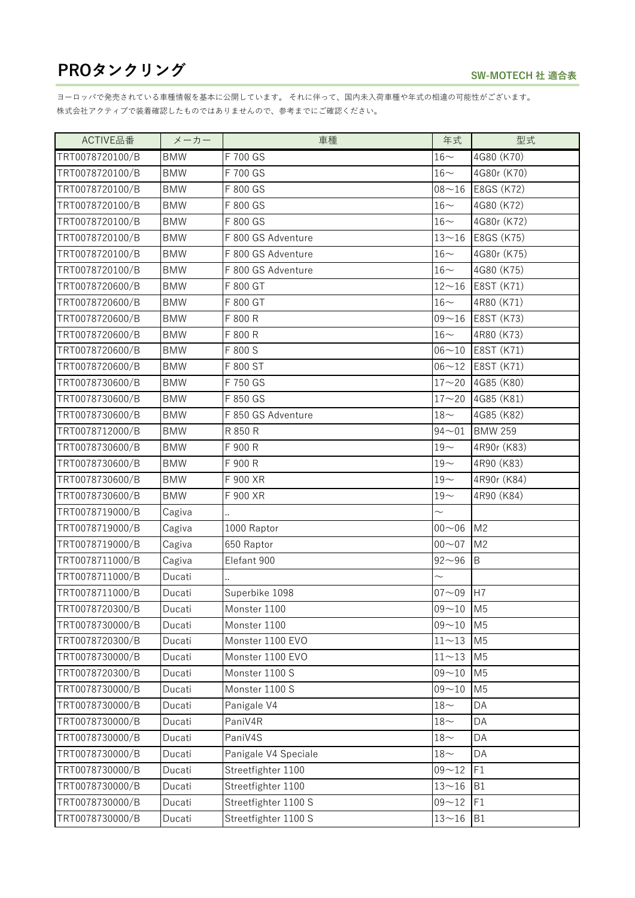| ACTIVE品番        | メーカー       | 車種                   | 年式                 | 型式             |
|-----------------|------------|----------------------|--------------------|----------------|
| TRT0078720100/B | <b>BMW</b> | F 700 GS             | $16-$              | 4G80 (K70)     |
| TRT0078720100/B | <b>BMW</b> | F 700 GS             | $16-$              | 4G80r (K70)    |
| TRT0078720100/B | <b>BMW</b> | F 800 GS             | $08 - 16$          | E8GS (K72)     |
| TRT0078720100/B | <b>BMW</b> | F 800 GS             | $16\mathord{\sim}$ | 4G80 (K72)     |
| TRT0078720100/B | <b>BMW</b> | F 800 GS             | $16\mathord{\sim}$ | 4G80r (K72)    |
| TRT0078720100/B | <b>BMW</b> | F 800 GS Adventure   | $13 - 16$          | E8GS (K75)     |
| TRT0078720100/B | <b>BMW</b> | F 800 GS Adventure   | $16-$              | 4G80r (K75)    |
| TRT0078720100/B | <b>BMW</b> | F 800 GS Adventure   | $16\!\sim\!$       | 4G80 (K75)     |
| TRT0078720600/B | <b>BMW</b> | F 800 GT             | $12 - 16$          | E8ST (K71)     |
| TRT0078720600/B | <b>BMW</b> | F 800 GT             | $16\!\sim\!$       | 4R80 (K71)     |
| TRT0078720600/B | <b>BMW</b> | F 800 R              | $09 - 16$          | E8ST (K73)     |
| TRT0078720600/B | <b>BMW</b> | F 800 R              | $16\mathord{\sim}$ | 4R80 (K73)     |
| TRT0078720600/B | <b>BMW</b> | F 800 S              | $06 - 10$          | E8ST (K71)     |
| TRT0078720600/B | <b>BMW</b> | F 800 ST             | $06 - 12$          | E8ST (K71)     |
| TRT0078730600/B | <b>BMW</b> | F 750 GS             | $17 - 20$          | 4G85 (K80)     |
| TRT0078730600/B | <b>BMW</b> | F 850 GS             | $17 - 20$          | 4G85 (K81)     |
| TRT0078730600/B | <b>BMW</b> | F 850 GS Adventure   | $18\mathord{\sim}$ | 4G85 (K82)     |
| TRT0078712000/B | <b>BMW</b> | R 850 R              | $94 - 01$          | <b>BMW 259</b> |
| TRT0078730600/B | <b>BMW</b> | F 900 R              | $19-$              | 4R90r (K83)    |
| TRT0078730600/B | <b>BMW</b> | F 900 R              | $19-$              | 4R90 (K83)     |
| TRT0078730600/B | <b>BMW</b> | F 900 XR             | $19-$              | 4R90r (K84)    |
| TRT0078730600/B | <b>BMW</b> | F 900 XR             | $19-$              | 4R90 (K84)     |
| TRT0078719000/B | Cagiva     |                      | $\sim$             |                |
| TRT0078719000/B | Cagiva     | 1000 Raptor          | $00 - 06$          | M <sub>2</sub> |
| TRT0078719000/B | Cagiva     | 650 Raptor           | $00 - 07$          | M <sub>2</sub> |
| TRT0078711000/B | Cagiva     | Elefant 900          | $92 - 96$          | B              |
| TRT0078711000/B | Ducati     |                      | $\sim$             |                |
| TRT0078711000/B | Ducati     | Superbike 1098       | $07 - 09$          | H7             |
| TRT0078720300/B | Ducati     | Monster 1100         | $09 - 10$ M5       |                |
| TRT0078730000/B | Ducati     | Monster 1100         | $09 - 10$          | M <sub>5</sub> |
| TRT0078720300/B | Ducati     | Monster 1100 EVO     | $11 - 13$          | M <sub>5</sub> |
| TRT0078730000/B | Ducati     | Monster 1100 EVO     | $11 - 13$          | M <sub>5</sub> |
| TRT0078720300/B | Ducati     | Monster 1100 S       | $09 - 10$          | M <sub>5</sub> |
| TRT0078730000/B | Ducati     | Monster 1100 S       | $09 - 10$          | M <sub>5</sub> |
| TRT0078730000/B | Ducati     | Panigale V4          | $18-$              | DA             |
| TRT0078730000/B | Ducati     | PaniV4R              | $18\mathord{\sim}$ | DA             |
| TRT0078730000/B | Ducati     | PaniV4S              | $18-$              | DA             |
| TRT0078730000/B | Ducati     | Panigale V4 Speciale | $18\mathord{\sim}$ | DA             |
| TRT0078730000/B | Ducati     | Streetfighter 1100   | $09 - 12$          | F1             |
| TRT0078730000/B | Ducati     | Streetfighter 1100   | $13 - 16$          | <b>B1</b>      |
| TRT0078730000/B | Ducati     | Streetfighter 1100 S | $09 - 12$          | F1             |
| TRT0078730000/B | Ducati     | Streetfighter 1100 S | $13 - 16$          | <b>B1</b>      |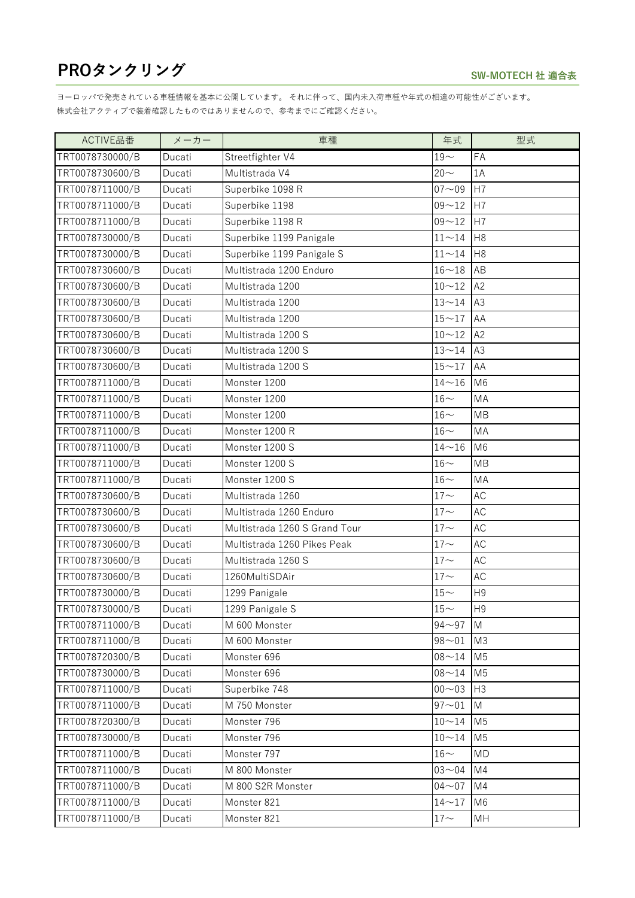| ACTIVE品番        | メーカー   | 車種                            | 年式                 | 型式             |
|-----------------|--------|-------------------------------|--------------------|----------------|
| TRT0078730000/B | Ducati | Streetfighter V4              | $19-$              | FA             |
| TRT0078730600/B | Ducati | Multistrada V4                | $20 -$             | 1A             |
| TRT0078711000/B | Ducati | Superbike 1098 R              | $07 - 09$          | H7             |
| TRT0078711000/B | Ducati | Superbike 1198                | $09 - 12$          | H7             |
| TRT0078711000/B | Ducati | Superbike 1198 R              | $09 - 12$          | H7             |
| TRT0078730000/B | Ducati | Superbike 1199 Panigale       | $11 - 14$          | H <sub>8</sub> |
| TRT0078730000/B | Ducati | Superbike 1199 Panigale S     | $11 - 14$          | H <sub>8</sub> |
| TRT0078730600/B | Ducati | Multistrada 1200 Enduro       | $16 - 18$          | AB             |
| TRT0078730600/B | Ducati | Multistrada 1200              | $10 - 12$          | A2             |
| TRT0078730600/B | Ducati | Multistrada 1200              | $13 - 14$          | A <sub>3</sub> |
| TRT0078730600/B | Ducati | Multistrada 1200              | $15 - 17$          | AA             |
| TRT0078730600/B | Ducati | Multistrada 1200 S            | $10 - 12$          | A2             |
| TRT0078730600/B | Ducati | Multistrada 1200 S            | $13 - 14$          | A3             |
| TRT0078730600/B | Ducati | Multistrada 1200 S            | $15 - 17$          | AA             |
| TRT0078711000/B | Ducati | Monster 1200                  | $14 - 16$          | M6             |
| TRT0078711000/B | Ducati | Monster 1200                  | $16-$              | MA             |
| TRT0078711000/B | Ducati | Monster 1200                  | $16-$              | <b>MB</b>      |
| TRT0078711000/B | Ducati | Monster 1200 R                | $16-$              | MA             |
| TRT0078711000/B | Ducati | Monster 1200 S                | $14 - 16$          | M <sub>6</sub> |
| TRT0078711000/B | Ducati | Monster 1200 S                | $16-$              | MB             |
| TRT0078711000/B | Ducati | Monster 1200 S                | $16\mathord{\sim}$ | MA             |
| TRT0078730600/B | Ducati | Multistrada 1260              | $17 -$             | <b>AC</b>      |
| TRT0078730600/B | Ducati | Multistrada 1260 Enduro       | $17\mathord{\sim}$ | AC             |
| TRT0078730600/B | Ducati | Multistrada 1260 S Grand Tour | $17 -$             | <b>AC</b>      |
| TRT0078730600/B | Ducati | Multistrada 1260 Pikes Peak   | $17 -$             | AC             |
| TRT0078730600/B | Ducati | Multistrada 1260 S            | $17 -$             | <b>AC</b>      |
| TRT0078730600/B | Ducati | 1260MultiSDAir                | $17 -$             | AC             |
| TRT0078730000/B | Ducati | 1299 Panigale                 | $15-$              | H <sub>9</sub> |
| TRT0078730000/B | Ducati | 1299 Panigale S               | $15\mathtt{\sim}$  | H9             |
| TRT0078711000/B | Ducati | M 600 Monster                 | $94 - 97$          | M              |
| TRT0078711000/B | Ducati | M 600 Monster                 | $98 - 01$          | M <sub>3</sub> |
| TRT0078720300/B | Ducati | Monster 696                   | $08 - 14$          | M <sub>5</sub> |
| TRT0078730000/B | Ducati | Monster 696                   | $08 - 14$          | M <sub>5</sub> |
| TRT0078711000/B | Ducati | Superbike 748                 | $00 - 03$          | H <sub>3</sub> |
| TRT0078711000/B | Ducati | M 750 Monster                 | $97 - 01$          | M              |
| TRT0078720300/B | Ducati | Monster 796                   | $10 - 14$          | M <sub>5</sub> |
| TRT0078730000/B | Ducati | Monster 796                   | $10 - 14$          | M <sub>5</sub> |
| TRT0078711000/B | Ducati | Monster 797                   | $16-$              | <b>MD</b>      |
| TRT0078711000/B | Ducati | M 800 Monster                 | $03 - 04$          | M4             |
| TRT0078711000/B | Ducati | M 800 S2R Monster             | $04 - 07$          | M4             |
| TRT0078711000/B | Ducati | Monster 821                   | $14 - 17$          | M <sub>6</sub> |
| TRT0078711000/B | Ducati | Monster 821                   | $17\mathord{\sim}$ | MH             |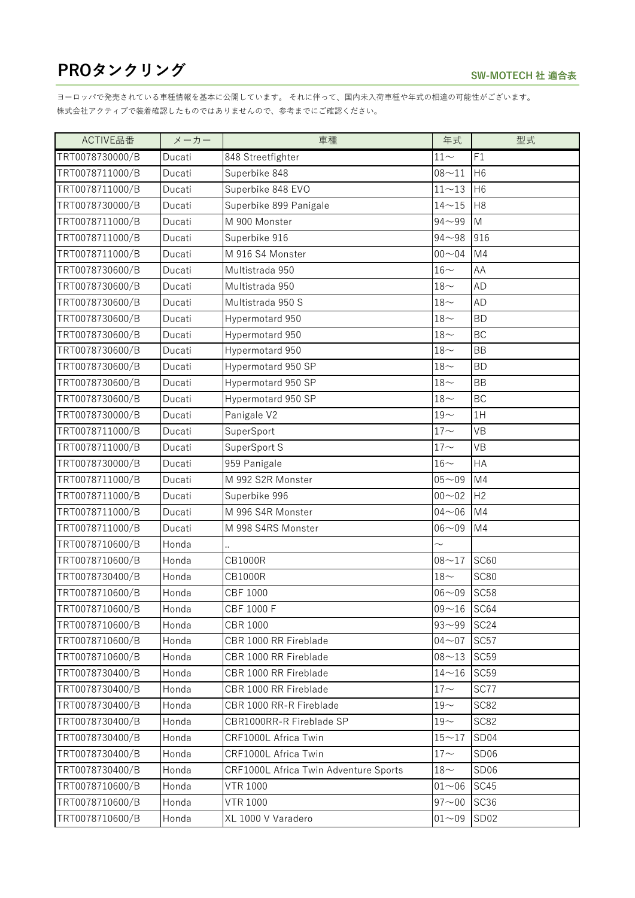| ACTIVE品番        | メーカー   | 車種                                    | 年式                 | 型式               |
|-----------------|--------|---------------------------------------|--------------------|------------------|
| TRT0078730000/B | Ducati | 848 Streetfighter                     | $11 -$             | F1               |
| TRT0078711000/B | Ducati | Superbike 848                         | $08 - 11$          | H <sub>6</sub>   |
| TRT0078711000/B | Ducati | Superbike 848 EVO                     | $11 - 13$          | H <sub>6</sub>   |
| TRT0078730000/B | Ducati | Superbike 899 Panigale                | $14 - 15$          | H <sub>8</sub>   |
| TRT0078711000/B | Ducati | M 900 Monster                         | $94 - 99$          | M                |
| TRT0078711000/B | Ducati | Superbike 916                         | $94 - 98$          | 916              |
| TRT0078711000/B | Ducati | M 916 S4 Monster                      | $00 - 04$          | M4               |
| TRT0078730600/B | Ducati | Multistrada 950                       | $16-$              | AA               |
| TRT0078730600/B | Ducati | Multistrada 950                       | $18\mathord{\sim}$ | AD               |
| TRT0078730600/B | Ducati | Multistrada 950 S                     | $18-$              | <b>AD</b>        |
| TRT0078730600/B | Ducati | Hypermotard 950                       | $18-$              | <b>BD</b>        |
| TRT0078730600/B | Ducati | Hypermotard 950                       | $18-$              | <b>BC</b>        |
| TRT0078730600/B | Ducati | Hypermotard 950                       | $18-$              | BB               |
| TRT0078730600/B | Ducati | Hypermotard 950 SP                    | $18-$              | <b>BD</b>        |
| TRT0078730600/B | Ducati | Hypermotard 950 SP                    | $18\mathord{\sim}$ | BB               |
| TRT0078730600/B | Ducati | Hypermotard 950 SP                    | $18-$              | BC               |
| TRT0078730000/B | Ducati | Panigale V2                           | $19-$              | 1H               |
| TRT0078711000/B | Ducati | SuperSport                            | $17 -$             | <b>VB</b>        |
| TRT0078711000/B | Ducati | SuperSport S                          | $17 -$             | VB               |
| TRT0078730000/B | Ducati | 959 Panigale                          | $16-$              | HA               |
| TRT0078711000/B | Ducati | M 992 S2R Monster                     | $05 - 09$          | M4               |
| TRT0078711000/B | Ducati | Superbike 996                         | $00 - 02$          | H2               |
| TRT0078711000/B | Ducati | M 996 S4R Monster                     | $04 - 06$          | M4               |
| TRT0078711000/B | Ducati | M 998 S4RS Monster                    | $06 - 09$          | M4               |
| TRT0078710600/B | Honda  |                                       | $\sim$             |                  |
| TRT0078710600/B | Honda  | <b>CB1000R</b>                        | $08 - 17$          | <b>SC60</b>      |
| TRT0078730400/B | Honda  | <b>CB1000R</b>                        | $18-$              | <b>SC80</b>      |
| TRT0078710600/B | Honda  | <b>CBF 1000</b>                       | $06 - 09$          | <b>SC58</b>      |
| TRT0078710600/B | Honda  | CBF 1000 F                            | $09 - 16$ SC64     |                  |
| TRT0078710600/B | Honda  | <b>CBR 1000</b>                       | $93 - 99$          | <b>SC24</b>      |
| TRT0078710600/B | Honda  | CBR 1000 RR Fireblade                 | $04 - 07$          | SC <sub>57</sub> |
| TRT0078710600/B | Honda  | CBR 1000 RR Fireblade                 | $08 - 13$          | <b>SC59</b>      |
| TRT0078730400/B | Honda  | CBR 1000 RR Fireblade                 | $14 - 16$          | <b>SC59</b>      |
| TRT0078730400/B | Honda  | CBR 1000 RR Fireblade                 | $17\mathord{\sim}$ | SC77             |
| TRT0078730400/B | Honda  | CBR 1000 RR-R Fireblade               | $19-$              | <b>SC82</b>      |
| TRT0078730400/B | Honda  | CBR1000RR-R Fireblade SP              | $19\mathord{\sim}$ | <b>SC82</b>      |
| TRT0078730400/B | Honda  | CRF1000L Africa Twin                  | $15 - 17$          | SD <sub>04</sub> |
| TRT0078730400/B | Honda  | CRF1000L Africa Twin                  | $17-$              | SD <sub>06</sub> |
| TRT0078730400/B | Honda  | CRF1000L Africa Twin Adventure Sports | $18\mathord{\sim}$ | SD <sub>06</sub> |
| TRT0078710600/B | Honda  | <b>VTR 1000</b>                       | $01 - 06$          | SC45             |
| TRT0078710600/B | Honda  | <b>VTR 1000</b>                       | $97 - 00$          | SC36             |
| TRT0078710600/B | Honda  | XL 1000 V Varadero                    | $01 - 09$          | SD <sub>02</sub> |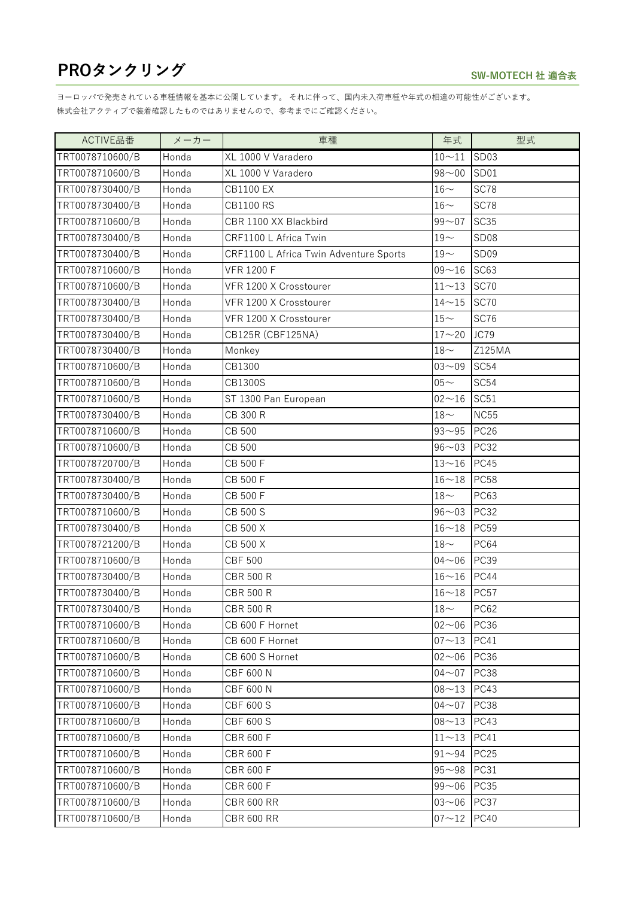| ACTIVE品番        | メーカー  | 車種                                     | 年式                 | 型式               |
|-----------------|-------|----------------------------------------|--------------------|------------------|
| TRT0078710600/B | Honda | XL 1000 V Varadero                     | $10 - 11$          | <b>SD03</b>      |
| TRT0078710600/B | Honda | XL 1000 V Varadero                     | $98 - 00$          | SD01             |
| TRT0078730400/B | Honda | <b>CB1100 EX</b>                       | $16-$              | SC78             |
| TRT0078730400/B | Honda | <b>CB1100 RS</b>                       | $16-$              | SC78             |
| TRT0078710600/B | Honda | CBR 1100 XX Blackbird                  | $99 - 07$          | <b>SC35</b>      |
| TRT0078730400/B | Honda | CRF1100 L Africa Twin                  | $19-$              | <b>SD08</b>      |
| TRT0078730400/B | Honda | CRF1100 L Africa Twin Adventure Sports | $19-$              | SD <sub>09</sub> |
| TRT0078710600/B | Honda | <b>VFR 1200 F</b>                      | $09 - 16$          | SC63             |
| TRT0078710600/B | Honda | VFR 1200 X Crosstourer                 | $11 - 13$          | <b>SC70</b>      |
| TRT0078730400/B | Honda | VFR 1200 X Crosstourer                 | $14 - 15$          | <b>SC70</b>      |
| TRT0078730400/B | Honda | VFR 1200 X Crosstourer                 | $15\mathord{\sim}$ | SC76             |
| TRT0078730400/B | Honda | CB125R (CBF125NA)                      | $17 - 20$          | JC79             |
| TRT0078730400/B | Honda | Monkey                                 | $18-$              | Z125MA           |
| TRT0078710600/B | Honda | CB1300                                 | $03 - 09$          | <b>SC54</b>      |
| TRT0078710600/B | Honda | CB1300S                                | $05 -$             | SC <sub>54</sub> |
| TRT0078710600/B | Honda | ST 1300 Pan European                   | $02 - 16$          | SC51             |
| TRT0078730400/B | Honda | CB 300 R                               | $18-$              | <b>NC55</b>      |
| TRT0078710600/B | Honda | CB 500                                 | $93 - 95$          | <b>PC26</b>      |
| TRT0078710600/B | Honda | CB 500                                 | $96 - 03$          | <b>PC32</b>      |
| TRT0078720700/B | Honda | CB 500 F                               | $13 - 16$          | <b>PC45</b>      |
| TRT0078730400/B | Honda | CB 500 F                               | $16 - 18$          | <b>PC58</b>      |
| TRT0078730400/B | Honda | CB 500 F                               | $18\mathord{\sim}$ | PC63             |
| TRT0078710600/B | Honda | CB 500 S                               | $96 - 03$          | <b>PC32</b>      |
| TRT0078730400/B | Honda | CB 500 X                               | $16 - 18$          | <b>PC59</b>      |
| TRT0078721200/B | Honda | CB 500 X                               | $18-$              | <b>PC64</b>      |
| TRT0078710600/B | Honda | <b>CBF 500</b>                         | $04 - 06$          | <b>PC39</b>      |
| TRT0078730400/B | Honda | <b>CBR 500 R</b>                       | $16 - 16$          | <b>PC44</b>      |
| TRT0078730400/B | Honda | <b>CBR 500 R</b>                       | $16 - 18$          | <b>PC57</b>      |
| TRT0078730400/B | Honda | <b>CBR 500 R</b>                       | $18\mathord{\sim}$ | <b>PC62</b>      |
| TRT0078710600/B | Honda | CB 600 F Hornet                        | $02 - 06$          | <b>PC36</b>      |
| TRT0078710600/B | Honda | CB 600 F Hornet                        | $07 - 13$          | <b>PC41</b>      |
| TRT0078710600/B | Honda | CB 600 S Hornet                        | $02 - 06$          | <b>PC36</b>      |
| TRT0078710600/B | Honda | <b>CBF 600 N</b>                       | $04 - 07$          | <b>PC38</b>      |
| TRT0078710600/B | Honda | <b>CBF 600 N</b>                       | $08 - 13$          | <b>PC43</b>      |
| TRT0078710600/B | Honda | <b>CBF 600 S</b>                       | $04 - 07$          | <b>PC38</b>      |
| TRT0078710600/B | Honda | <b>CBF 600 S</b>                       | $08 - 13$          | <b>PC43</b>      |
| TRT0078710600/B | Honda | <b>CBR 600 F</b>                       | $11 - 13$          | <b>PC41</b>      |
| TRT0078710600/B | Honda | <b>CBR 600 F</b>                       | $91 - 94$          | <b>PC25</b>      |
| TRT0078710600/B | Honda | <b>CBR 600 F</b>                       | $95 - 98$          | <b>PC31</b>      |
| TRT0078710600/B | Honda | <b>CBR 600 F</b>                       | $99 - 06$          | <b>PC35</b>      |
| TRT0078710600/B | Honda | <b>CBR 600 RR</b>                      | $03 - 06$          | PC37             |
| TRT0078710600/B | Honda | <b>CBR 600 RR</b>                      | $07 - 12$          | <b>PC40</b>      |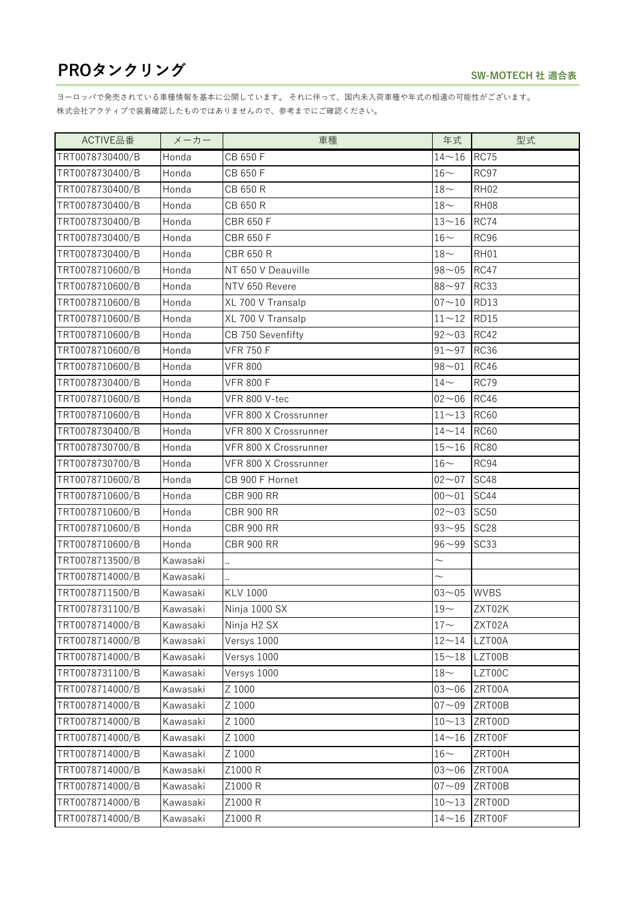| ACTIVE品番        | メーカー     | 車種                      | 年式                 | 型式          |
|-----------------|----------|-------------------------|--------------------|-------------|
| TRT0078730400/B | Honda    | CB 650 F                | $14 - 16$          | <b>RC75</b> |
| TRT0078730400/B | Honda    | CB 650 F                | $16-$              | RC97        |
| TRT0078730400/B | Honda    | CB 650 R                | $18\mathord{\sim}$ | <b>RH02</b> |
| TRT0078730400/B | Honda    | CB 650 R                | $18\mathord{\sim}$ | <b>RH08</b> |
| TRT0078730400/B | Honda    | <b>CBR 650 F</b>        | $13 - 16$          | <b>RC74</b> |
| TRT0078730400/B | Honda    | <b>CBR 650 F</b>        | $16-$              | RC96        |
| TRT0078730400/B | Honda    | <b>CBR 650 R</b>        | $18-$              | RH01        |
| TRT0078710600/B | Honda    | NT 650 V Deauville      | $98 - 05$          | <b>RC47</b> |
| TRT0078710600/B | Honda    | NTV 650 Revere          | $88 - 97$          | <b>RC33</b> |
| TRT0078710600/B | Honda    | XL 700 V Transalp       | $07 - 10$          | <b>RD13</b> |
| TRT0078710600/B | Honda    | XL 700 V Transalp       | $11 - 12$          | <b>RD15</b> |
| TRT0078710600/B | Honda    | CB 750 Sevenfifty       | $92 - 03$          | <b>RC42</b> |
| TRT0078710600/B | Honda    | <b>VFR 750 F</b>        | $91 - 97$          | <b>RC36</b> |
| TRT0078710600/B | Honda    | <b>VFR 800</b>          | $98 - 01$          | <b>RC46</b> |
| TRT0078730400/B | Honda    | <b>VFR 800 F</b>        | $14-$              | <b>RC79</b> |
| TRT0078710600/B | Honda    | VFR 800 V-tec           | $02 - 06$          | <b>RC46</b> |
| TRT0078710600/B | Honda    | VFR 800 X Crossrunner   | $11 - 13$          | <b>RC60</b> |
| TRT0078730400/B | Honda    | VFR 800 X Crossrunner   | $14 - 14$          | <b>RC60</b> |
| TRT0078730700/B | Honda    | VFR 800 X Crossrunner   | $15 - 16$          | <b>RC80</b> |
| TRT0078730700/B | Honda    | VFR 800 X Crossrunner   | $16-$              | RC94        |
| TRT0078710600/B | Honda    | CB 900 F Hornet         | $02 - 07$          | SC48        |
| TRT0078710600/B | Honda    | <b>CBR 900 RR</b>       | $00 - 01$          | SC44        |
| TRT0078710600/B | Honda    | <b>CBR 900 RR</b>       | $02 - 03$          | <b>SC50</b> |
| TRT0078710600/B | Honda    | <b>CBR 900 RR</b>       | $93 - 95$          | <b>SC28</b> |
| TRT0078710600/B | Honda    | <b>CBR 900 RR</b>       | $96 - 99$          | SC33        |
| TRT0078713500/B | Kawasaki |                         | $\sim$             |             |
| TRT0078714000/B | Kawasaki |                         | $\sim$             |             |
| TRT0078711500/B | Kawasaki | <b>KLV 1000</b>         | $03 - 05$          | <b>WVBS</b> |
| TRT0078731100/B | Kawasaki | Ninja 1000 SX           | $19\mathord{\sim}$ | ZXT02K      |
| TRT0078714000/B | Kawasaki | Ninja H <sub>2</sub> SX | $17 -$             | ZXT02A      |
| TRT0078714000/B | Kawasaki | Versys 1000             | $12 - 14$          | LZT00A      |
| TRT0078714000/B | Kawasaki | Versys 1000             | $15 - 18$          | LZT00B      |
| TRT0078731100/B | Kawasaki | Versys 1000             | $18\mathord{\sim}$ | LZT00C      |
| TRT0078714000/B | Kawasaki | Z 1000                  | $03 - 06$          | ZRT00A      |
| TRT0078714000/B | Kawasaki | Z 1000                  | $07 - 09$          | ZRT00B      |
| TRT0078714000/B | Kawasaki | Z 1000                  | $10 - 13$          | ZRT00D      |
| TRT0078714000/B | Kawasaki | Z 1000                  | $14 - 16$          | ZRT00F      |
| TRT0078714000/B | Kawasaki | Z 1000                  | $16\mathord{\sim}$ | ZRT00H      |
| TRT0078714000/B | Kawasaki | Z1000 R                 | $03 - 06$          | ZRT00A      |
| TRT0078714000/B | Kawasaki | Z1000 R                 | $07 - 09$          | ZRT00B      |
| TRT0078714000/B | Kawasaki | Z1000 R                 | $10 - 13$          | ZRT00D      |
| TRT0078714000/B | Kawasaki | Z1000 R                 | $14 - 16$          | ZRT00F      |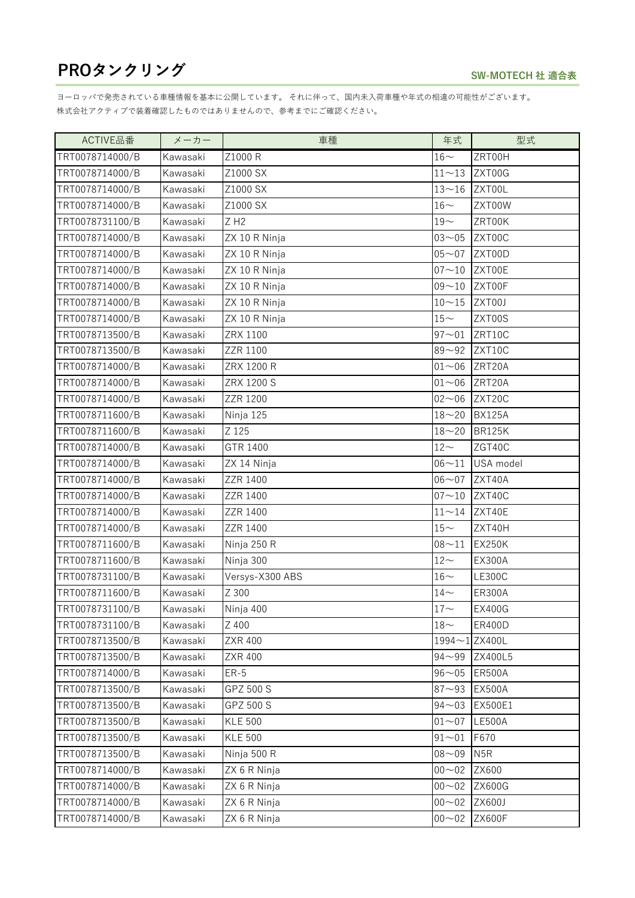| ACTIVE品番        | メーカー     | 車種                 | 年式                 | 型式               |
|-----------------|----------|--------------------|--------------------|------------------|
| TRT0078714000/B | Kawasaki | Z1000 R            | $16-$              | ZRT00H           |
| TRT0078714000/B | Kawasaki | Z1000 SX           | $11 - 13$          | ZXT00G           |
| TRT0078714000/B | Kawasaki | Z1000 SX           | $13 - 16$          | ZXT00L           |
| TRT0078714000/B | Kawasaki | Z1000 SX           | $16-$              | ZXT00W           |
| TRT0078731100/B | Kawasaki | $Z$ H <sub>2</sub> | $19\mathord{\sim}$ | ZRT00K           |
| TRT0078714000/B | Kawasaki | ZX 10 R Ninja      | $03 - 05$          | ZXT00C           |
| TRT0078714000/B | Kawasaki | ZX 10 R Ninja      | $05 - 07$          | ZXT00D           |
| TRT0078714000/B | Kawasaki | ZX 10 R Ninja      | $07 - 10$          | ZXT00E           |
| TRT0078714000/B | Kawasaki | ZX 10 R Ninja      | $09 - 10$          | ZXT00F           |
| TRT0078714000/B | Kawasaki | ZX 10 R Ninja      | $10 - 15$          | ZXT00J           |
| TRT0078714000/B | Kawasaki | ZX 10 R Ninja      | $15-$              | ZXT00S           |
| TRT0078713500/B | Kawasaki | ZRX 1100           | $97 - 01$          | ZRT10C           |
| TRT0078713500/B | Kawasaki | ZZR 1100           | $89 - 92$          | ZXT10C           |
| TRT0078714000/B | Kawasaki | ZRX 1200 R         | $01 - 06$          | ZRT20A           |
| TRT0078714000/B | Kawasaki | ZRX 1200 S         | $01 - 06$          | ZRT20A           |
| TRT0078714000/B | Kawasaki | ZZR 1200           | $02 - 06$          | ZXT20C           |
| TRT0078711600/B | Kawasaki | Ninja 125          | $18 - 20$          | <b>BX125A</b>    |
| TRT0078711600/B | Kawasaki | Z 125              | $18 - 20$          | <b>BR125K</b>    |
| TRT0078714000/B | Kawasaki | GTR 1400           | $12\!\!\sim$       | ZGT40C           |
| TRT0078714000/B | Kawasaki | ZX 14 Ninja        | $06 - 11$          | USA model        |
| TRT0078714000/B | Kawasaki | ZZR 1400           | $06 - 07$          | ZXT40A           |
| TRT0078714000/B | Kawasaki | ZZR 1400           | $07 - 10$          | ZXT40C           |
| TRT0078714000/B | Kawasaki | ZZR 1400           | $11\!\!\sim\!14$   | ZXT40E           |
| TRT0078714000/B | Kawasaki | ZZR 1400           | $15\mathord{\sim}$ | ZXT40H           |
| TRT0078711600/B | Kawasaki | Ninja 250 R        | $08 - 11$          | <b>EX250K</b>    |
| TRT0078711600/B | Kawasaki | Ninja 300          | $12-$              | <b>EX300A</b>    |
| TRT0078731100/B | Kawasaki | Versys-X300 ABS    | $16-$              | <b>LE300C</b>    |
| TRT0078711600/B | Kawasaki | Z 300              | $14\mathtt{\sim}$  | ER300A           |
| TRT0078731100/B | Kawasaki | Ninja 400          | $17\mathord{\sim}$ | <b>EX400G</b>    |
| TRT0078731100/B | Kawasaki | Z 400              | $18-$              | <b>ER400D</b>    |
| TRT0078713500/B | Kawasaki | ZXR 400            | 1994~1 ZX400L      |                  |
| TRT0078713500/B | Kawasaki | <b>ZXR 400</b>     | $94 - 99$          | ZX400L5          |
| TRT0078714000/B | Kawasaki | $ER-5$             | $96 - 05$          | <b>ER500A</b>    |
| TRT0078713500/B | Kawasaki | GPZ 500 S          | $87 - 93$          | <b>EX500A</b>    |
| TRT0078713500/B | Kawasaki | GPZ 500 S          | $94 - 03$          | EX500E1          |
| TRT0078713500/B | Kawasaki | <b>KLE 500</b>     | $01 - 07$          | <b>LE500A</b>    |
| TRT0078713500/B | Kawasaki | <b>KLE 500</b>     | $91 - 01$          | F670             |
| TRT0078713500/B | Kawasaki | Ninja 500 R        | $08 - 09$          | N <sub>5</sub> R |
| TRT0078714000/B | Kawasaki | ZX 6 R Ninja       | $00 - 02$          | ZX600            |
| TRT0078714000/B | Kawasaki | ZX 6 R Ninja       | $00 - 02$          | ZX600G           |
| TRT0078714000/B | Kawasaki | ZX 6 R Ninja       | $00 - 02$          | ZX600J           |
| TRT0078714000/B | Kawasaki | ZX 6 R Ninja       | $00 - 02$          | <b>ZX600F</b>    |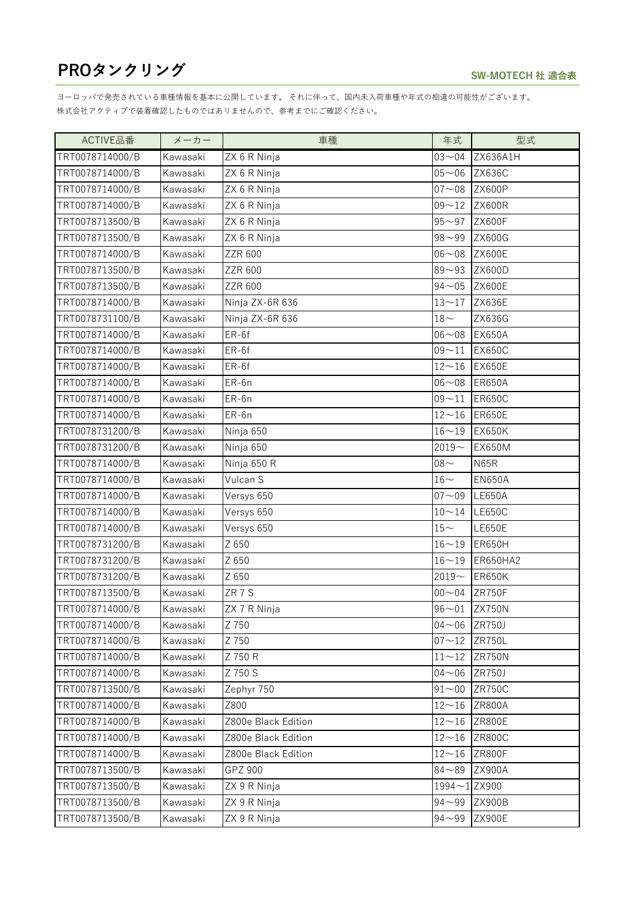| ACTIVE品番        | メーカー     | 車種                  | 年式                 | 型式            |
|-----------------|----------|---------------------|--------------------|---------------|
| TRT0078714000/B | Kawasaki | ZX 6 R Ninja        | $03 - 04$          | ZX636A1H      |
| TRT0078714000/B | Kawasaki | ZX 6 R Ninja        | $05 - 06$          | <b>ZX636C</b> |
| TRT0078714000/B | Kawasaki | ZX 6 R Ninja        | $07 - 08$          | <b>ZX600P</b> |
| TRT0078714000/B | Kawasaki | ZX 6 R Ninja        | $09 - 12$          | <b>ZX600R</b> |
| TRT0078713500/B | Kawasaki | ZX 6 R Ninja        | $95 - 97$          | <b>ZX600F</b> |
| TRT0078713500/B | Kawasaki | ZX 6 R Ninja        | $98 - 99$          | ZX600G        |
| TRT0078714000/B | Kawasaki | ZZR 600             | $06 - 08$          | <b>ZX600E</b> |
| TRT0078713500/B | Kawasaki | ZZR 600             | $89 - 93$          | ZX600D        |
| TRT0078713500/B | Kawasaki | ZZR 600             | $94 - 05$          | <b>ZX600E</b> |
| TRT0078714000/B | Kawasaki | Ninja ZX-6R 636     | $13 - 17$          | ZX636E        |
| TRT0078731100/B | Kawasaki | Ninja ZX-6R 636     | $18\mathord{\sim}$ | ZX636G        |
| TRT0078714000/B | Kawasaki | $ER-6f$             | $06 - 08$          | <b>EX650A</b> |
| TRT0078714000/B | Kawasaki | ER-6f               | $09 - 11$          | <b>EX650C</b> |
| TRT0078714000/B | Kawasaki | $ER-6f$             | $12 - 16$          | <b>EX650E</b> |
| TRT0078714000/B | Kawasaki | ER-6n               | $06 - 08$          | <b>ER650A</b> |
| TRT0078714000/B | Kawasaki | ER-6n               | $09 - 11$          | <b>ER650C</b> |
| TRT0078714000/B | Kawasaki | ER-6n               | $12 - 16$          | <b>ER650E</b> |
| TRT0078731200/B | Kawasaki | Ninja 650           | $16 - 19$          | <b>EX650K</b> |
| TRT0078731200/B | Kawasaki | Ninja 650           | $2019 -$           | <b>EX650M</b> |
| TRT0078714000/B | Kawasaki | Ninja 650 R         | $08 -$             | <b>N65R</b>   |
| TRT0078714000/B | Kawasaki | Vulcan S            | $16\mathord{\sim}$ | <b>EN650A</b> |
| TRT0078714000/B | Kawasaki | Versys 650          | $07 - 09$          | <b>LE650A</b> |
| TRT0078714000/B | Kawasaki | Versys 650          | $10 - 14$          | <b>LE650C</b> |
| TRT0078714000/B | Kawasaki | Versys 650          | $15\mathord{\sim}$ | <b>LE650E</b> |
| TRT0078731200/B | Kawasaki | Z 650               | $16 - 19$          | <b>ER650H</b> |
| TRT0078731200/B | Kawasaki | Z 650               | $16 - 19$          | ER650HA2      |
| TRT0078731200/B | Kawasaki | Z 650               | $2019 -$           | <b>ER650K</b> |
| TRT0078713500/B | Kawasaki | ZR 7 S              | $00 - 04$          | ZR750F        |
| TRT0078714000/B | Kawasaki | ZX 7 R Ninja        |                    | 96~01 ZX750N  |
| TRT0078714000/B | Kawasaki | Z 750               | $04 - 06$ ZR750J   |               |
| TRT0078714000/B | Kawasaki | Z 750               | $07 - 12$          | <b>ZR750L</b> |
| TRT0078714000/B | Kawasaki | Z 750 R             | $11 - 12$          | ZR750N        |
| TRT0078714000/B | Kawasaki | Z 750 S             | $04 - 06$          | ZR750J        |
| TRT0078713500/B | Kawasaki | Zephyr 750          | $91 - 00$          | <b>ZR750C</b> |
| TRT0078714000/B | Kawasaki | Z800                | $12 - 16$          | ZR800A        |
| TRT0078714000/B | Kawasaki | Z800e Black Edition | $12 - 16$          | <b>ZR800E</b> |
| TRT0078714000/B | Kawasaki | Z800e Black Edition | $12 - 16$          | <b>ZR800C</b> |
| TRT0078714000/B | Kawasaki | Z800e Black Edition | $12 - 16$          | ZR800F        |
| TRT0078713500/B | Kawasaki | GPZ 900             | $84 - 89$          | ZX900A        |
| TRT0078713500/B | Kawasaki | ZX 9 R Ninja        | 1994 $\sim$ 1ZX900 |               |
| TRT0078713500/B | Kawasaki | ZX 9 R Ninja        | $94 - 99$          | ZX900B        |
| TRT0078713500/B | Kawasaki | ZX 9 R Ninja        | $94 - 99$          | <b>ZX900E</b> |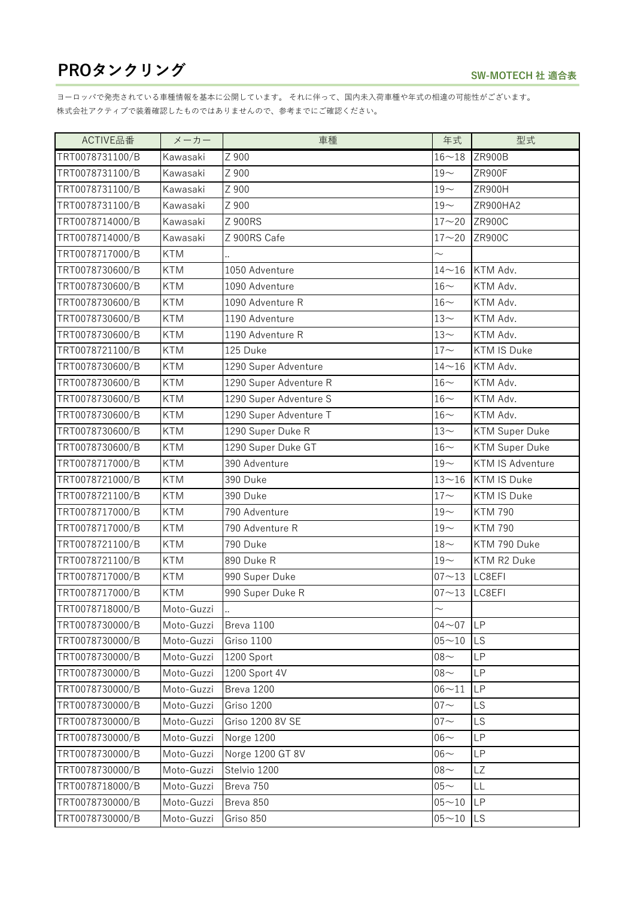| ACTIVE品番        | メーカー       | 車種                     | 年式                 | 型式                      |
|-----------------|------------|------------------------|--------------------|-------------------------|
| TRT0078731100/B | Kawasaki   | Z 900                  | $16 - 18$          | ZR900B                  |
| TRT0078731100/B | Kawasaki   | Z 900                  | $19-$              | ZR900F                  |
| TRT0078731100/B | Kawasaki   | Z 900                  | $19-$              | ZR900H                  |
| TRT0078731100/B | Kawasaki   | Z 900                  | $19-$              | ZR900HA2                |
| TRT0078714000/B | Kawasaki   | Z 900RS                | $17 - 20$          | <b>ZR900C</b>           |
| TRT0078714000/B | Kawasaki   | Z 900RS Cafe           | $17 - 20$          | <b>ZR900C</b>           |
| TRT0078717000/B | <b>KTM</b> |                        | $\sim$             |                         |
| TRT0078730600/B | <b>KTM</b> | 1050 Adventure         | $14 - 16$          | KTM Adv.                |
| TRT0078730600/B | <b>KTM</b> | 1090 Adventure         | $16-$              | KTM Adv.                |
| TRT0078730600/B | <b>KTM</b> | 1090 Adventure R       | $16-$              | KTM Adv.                |
| TRT0078730600/B | <b>KTM</b> | 1190 Adventure         | $13-$              | KTM Adv.                |
| TRT0078730600/B | <b>KTM</b> | 1190 Adventure R       | $13-$              | KTM Adv.                |
| TRT0078721100/B | <b>KTM</b> | 125 Duke               | $17\mathord{\sim}$ | <b>KTM IS Duke</b>      |
| TRT0078730600/B | <b>KTM</b> | 1290 Super Adventure   | $14 - 16$          | KTM Adv.                |
| TRT0078730600/B | <b>KTM</b> | 1290 Super Adventure R | $16-$              | KTM Adv.                |
| TRT0078730600/B | <b>KTM</b> | 1290 Super Adventure S | $16-$              | KTM Adv.                |
| TRT0078730600/B | <b>KTM</b> | 1290 Super Adventure T | $16-$              | KTM Adv.                |
| TRT0078730600/B | <b>KTM</b> | 1290 Super Duke R      | $13-$              | <b>KTM Super Duke</b>   |
| TRT0078730600/B | <b>KTM</b> | 1290 Super Duke GT     | $16-$              | <b>KTM Super Duke</b>   |
| TRT0078717000/B | <b>KTM</b> | 390 Adventure          | $19-$              | <b>KTM IS Adventure</b> |
| TRT0078721000/B | <b>KTM</b> | 390 Duke               | $13 - 16$          | <b>KTM IS Duke</b>      |
| TRT0078721100/B | <b>KTM</b> | 390 Duke               | $17 -$             | <b>KTM IS Duke</b>      |
| TRT0078717000/B | <b>KTM</b> | 790 Adventure          | $19-$              | <b>KTM 790</b>          |
| TRT0078717000/B | <b>KTM</b> | 790 Adventure R        | $19-$              | <b>KTM 790</b>          |
| TRT0078721100/B | <b>KTM</b> | 790 Duke               | $18-$              | KTM 790 Duke            |
| TRT0078721100/B | <b>KTM</b> | 890 Duke R             | $19-$              | KTM R2 Duke             |
| TRT0078717000/B | <b>KTM</b> | 990 Super Duke         | $07 - 13$          | LC8EFI                  |
| TRT0078717000/B | <b>KTM</b> | 990 Super Duke R       | $07 - 13$          | LC8EFI                  |
| TRT0078718000/B | Moto-Guzzi |                        | $\sim$             |                         |
| TRT0078730000/B | Moto-Guzzi | Breva 1100             | $04 - 07$          | <b>LP</b>               |
| TRT0078730000/B | Moto-Guzzi | Griso 1100             | $05 - 10$          | <b>LS</b>               |
| TRT0078730000/B | Moto-Guzzi | 1200 Sport             | $08 -$             | LP                      |
| TRT0078730000/B | Moto-Guzzi | 1200 Sport 4V          | $08 -$             | <b>LP</b>               |
| TRT0078730000/B | Moto-Guzzi | Breva 1200             | $06 - 11$          | <b>LP</b>               |
| TRT0078730000/B | Moto-Guzzi | Griso 1200             | $07 -$             | LS                      |
| TRT0078730000/B | Moto-Guzzi | Griso 1200 8V SE       | $07 -$             | <b>LS</b>               |
| TRT0078730000/B | Moto-Guzzi | Norge 1200             | $06-$              | <b>LP</b>               |
| TRT0078730000/B | Moto-Guzzi | Norge 1200 GT 8V       | $06-$              | <b>LP</b>               |
| TRT0078730000/B | Moto-Guzzi | Stelvio 1200           | $08 -$             | LZ                      |
| TRT0078718000/B | Moto-Guzzi | Breva 750              | $05 -$             | LL                      |
| TRT0078730000/B | Moto-Guzzi | Breva 850              | $05 - 10$          | <b>LP</b>               |
| TRT0078730000/B | Moto-Guzzi | Griso 850              | $05 - 10$          | <b>LS</b>               |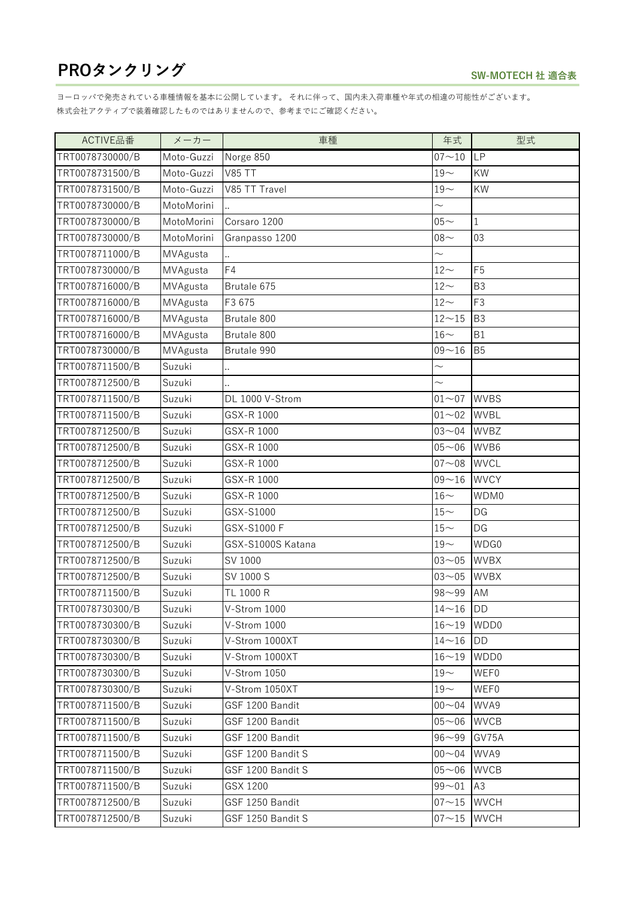| ACTIVE品番        | メーカー       | 車種                | 年式                  | 型式             |
|-----------------|------------|-------------------|---------------------|----------------|
| TRT0078730000/B | Moto-Guzzi | Norge 850         | $07 - 10$           | <b>LP</b>      |
| TRT0078731500/B | Moto-Guzzi | <b>V85 TT</b>     | $19-$               | KW             |
| TRT0078731500/B | Moto-Guzzi | V85 TT Travel     | $19-$               | KW             |
| TRT0078730000/B | MotoMorini |                   |                     |                |
| TRT0078730000/B | MotoMorini | Corsaro 1200      | $05 -$              | 1              |
| TRT0078730000/B | MotoMorini | Granpasso 1200    | $08 -$              | 03             |
| TRT0078711000/B | MVAgusta   |                   | $\sim$              |                |
| TRT0078730000/B | MVAgusta   | F4                | $12-$               | F <sub>5</sub> |
| TRT0078716000/B | MVAgusta   | Brutale 675       | $12-$               | B <sub>3</sub> |
| TRT0078716000/B | MVAgusta   | F3 675            | $12-$               | F3             |
| TRT0078716000/B | MVAgusta   | Brutale 800       | $12\mathtt{\sim}15$ | <b>B3</b>      |
| TRT0078716000/B | MVAgusta   | Brutale 800       | $16-$               | <b>B1</b>      |
| TRT0078730000/B | MVAgusta   | Brutale 990       | $09 - 16$           | <b>B5</b>      |
| TRT0078711500/B | Suzuki     | å.                | $\sim$              |                |
| TRT0078712500/B | Suzuki     |                   | $\sim$              |                |
| TRT0078711500/B | Suzuki     | DL 1000 V-Strom   | $01 - 07$           | <b>WVBS</b>    |
| TRT0078711500/B | Suzuki     | GSX-R 1000        | $01 - 02$           | <b>WVBL</b>    |
| TRT0078712500/B | Suzuki     | GSX-R 1000        | $03 - 04$           | <b>WVBZ</b>    |
| TRT0078712500/B | Suzuki     | GSX-R 1000        | $05 - 06$           | WVB6           |
| TRT0078712500/B | Suzuki     | GSX-R 1000        | $07 - 08$           | <b>WVCL</b>    |
| TRT0078712500/B | Suzuki     | GSX-R 1000        | $09 - 16$           | <b>WVCY</b>    |
| TRT0078712500/B | Suzuki     | GSX-R 1000        | $16-$               | WDM0           |
| TRT0078712500/B | Suzuki     | GSX-S1000         | $15-$               | DG             |
| TRT0078712500/B | Suzuki     | GSX-S1000 F       | $15-$               | DG             |
| TRT0078712500/B | Suzuki     | GSX-S1000S Katana | $19-$               | WDG0           |
| TRT0078712500/B | Suzuki     | SV 1000           | $03 - 05$           | <b>WVBX</b>    |
| TRT0078712500/B | Suzuki     | SV 1000 S         | $03 - 05$           | <b>WVBX</b>    |
| TRT0078711500/B | Suzuki     | TL 1000 R         | $98 - 99$           | AM             |
| TRT0078730300/B | Suzuki     | V-Strom 1000      | $14\sim16$ DD       |                |
| TRT0078730300/B | Suzuki     | V-Strom 1000      | $16 - 19$           | WDD0           |
| TRT0078730300/B | Suzuki     | V-Strom 1000XT    | $14 - 16$           | <b>DD</b>      |
| TRT0078730300/B | Suzuki     | V-Strom 1000XT    | $16 - 19$           | WDD0           |
| TRT0078730300/B | Suzuki     | V-Strom 1050      | $19-$               | <b>WEF0</b>    |
| TRT0078730300/B | Suzuki     | V-Strom 1050XT    | $19-$               | WEF0           |
| TRT0078711500/B | Suzuki     | GSF 1200 Bandit   | $00 - 04$           | WVA9           |
| TRT0078711500/B | Suzuki     | GSF 1200 Bandit   | $05 - 06$           | <b>WVCB</b>    |
| TRT0078711500/B | Suzuki     | GSF 1200 Bandit   | $96 - 99$           | GV75A          |
| TRT0078711500/B | Suzuki     | GSF 1200 Bandit S | $00 - 04$           | WVA9           |
| TRT0078711500/B | Suzuki     | GSF 1200 Bandit S | $05 - 06$           | <b>WVCB</b>    |
| TRT0078711500/B | Suzuki     | GSX 1200          | $99 - 01$           | A3             |
| TRT0078712500/B | Suzuki     | GSF 1250 Bandit   | $07 - 15$           | <b>WVCH</b>    |
| TRT0078712500/B | Suzuki     | GSF 1250 Bandit S | $07 - 15$           | <b>WVCH</b>    |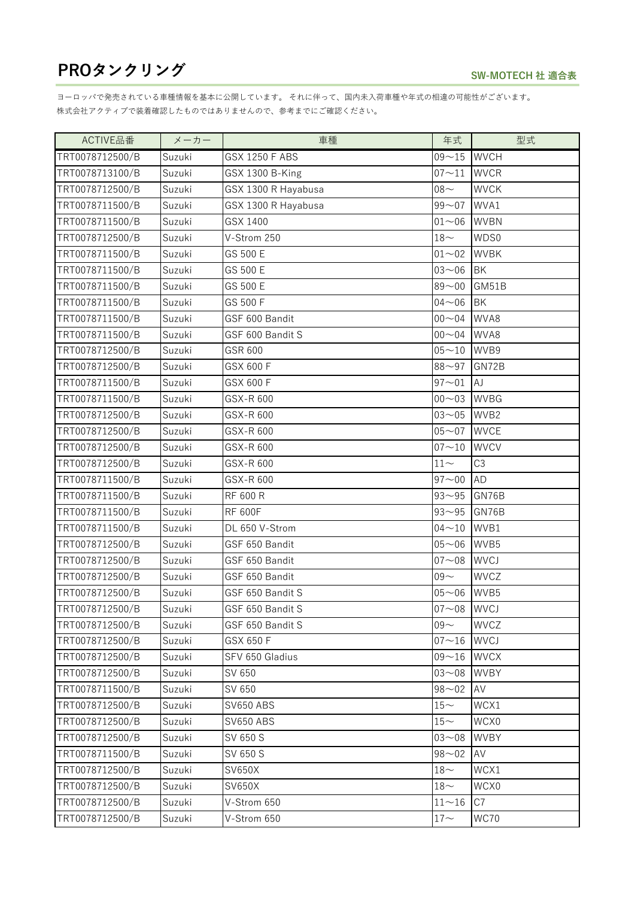| ACTIVE品番        | メーカー   | 車種                  | 年式                  | 型式             |
|-----------------|--------|---------------------|---------------------|----------------|
| TRT0078712500/B | Suzuki | GSX 1250 F ABS      | $09 - 15$           | <b>WVCH</b>    |
| TRT0078713100/B | Suzuki | GSX 1300 B-King     | $07 - 11$           | <b>WVCR</b>    |
| TRT0078712500/B | Suzuki | GSX 1300 R Hayabusa | $08 -$              | <b>WVCK</b>    |
| TRT0078711500/B | Suzuki | GSX 1300 R Hayabusa | $99 - 07$           | WVA1           |
| TRT0078711500/B | Suzuki | GSX 1400            | $01 - 06$           | <b>WVBN</b>    |
| TRT0078712500/B | Suzuki | V-Strom 250         | $18-$               | WDS0           |
| TRT0078711500/B | Suzuki | GS 500 E            | $01 - 02$           | <b>WVBK</b>    |
| TRT0078711500/B | Suzuki | GS 500 E            | $03 - 06$           | <b>BK</b>      |
| TRT0078711500/B | Suzuki | GS 500 E            | $89 - 00$           | GM51B          |
| TRT0078711500/B | Suzuki | GS 500 F            | $04 - 06$           | <b>BK</b>      |
| TRT0078711500/B | Suzuki | GSF 600 Bandit      | $00 - 04$           | WVA8           |
| TRT0078711500/B | Suzuki | GSF 600 Bandit S    | $00 - 04$           | WVA8           |
| TRT0078712500/B | Suzuki | GSR 600             | $05 - 10$           | WVB9           |
| TRT0078712500/B | Suzuki | GSX 600 F           | $88 - 97$           | GN72B          |
| TRT0078711500/B | Suzuki | GSX 600 F           | $97 - 01$           | AJ             |
| TRT0078711500/B | Suzuki | GSX-R 600           | $00 - 03$           | <b>WVBG</b>    |
| TRT0078712500/B | Suzuki | GSX-R 600           | $03 - 05$           | WVB2           |
| TRT0078712500/B | Suzuki | GSX-R 600           | $05 - 07$           | <b>WVCE</b>    |
| TRT0078712500/B | Suzuki | GSX-R 600           | $07 - 10$           | <b>WVCV</b>    |
| TRT0078712500/B | Suzuki | GSX-R 600           | $11\!\sim\!$        | C <sub>3</sub> |
| TRT0078711500/B | Suzuki | GSX-R 600           | $97 - 00$           | AD             |
| TRT0078711500/B | Suzuki | <b>RF 600 R</b>     | $93 - 95$           | GN76B          |
| TRT0078711500/B | Suzuki | <b>RF 600F</b>      | $93 - 95$           | GN76B          |
| TRT0078711500/B | Suzuki | DL 650 V-Strom      | $04 - 10$           | WVB1           |
| TRT0078712500/B | Suzuki | GSF 650 Bandit      | $05 - 06$           | WVB5           |
| TRT0078712500/B | Suzuki | GSF 650 Bandit      | $07 - 08$           | <b>WVCJ</b>    |
| TRT0078712500/B | Suzuki | GSF 650 Bandit      | $09 -$              | <b>WVCZ</b>    |
| TRT0078712500/B | Suzuki | GSF 650 Bandit S    | $05 - 06$           | WVB5           |
| TRT0078712500/B | Suzuki | GSF 650 Bandit S    | 07~08 WVCJ          |                |
| TRT0078712500/B | Suzuki | GSF 650 Bandit S    | $09 -$              | <b>WVCZ</b>    |
| TRT0078712500/B | Suzuki | GSX 650 F           | $07 - 16$           | <b>WVCJ</b>    |
| TRT0078712500/B | Suzuki | SFV 650 Gladius     | $09 - 16$           | <b>WVCX</b>    |
| TRT0078712500/B | Suzuki | SV 650              | $03 - 08$           | <b>WVBY</b>    |
| TRT0078711500/B | Suzuki | SV 650              | $98 - 02$           | AV             |
| TRT0078712500/B | Suzuki | <b>SV650 ABS</b>    | $15-$               | WCX1           |
| TRT0078712500/B | Suzuki | <b>SV650 ABS</b>    | $15-$               | WCX0           |
| TRT0078712500/B | Suzuki | SV 650 S            | $03 - 08$           | <b>WVBY</b>    |
| TRT0078711500/B | Suzuki | SV 650 S            | $98 - 02$           | AV             |
| TRT0078712500/B | Suzuki | SV650X              | $18\mathord{\sim}$  | WCX1           |
| TRT0078712500/B | Suzuki | SV650X              | $18\mathord{\sim}$  | WCX0           |
| TRT0078712500/B | Suzuki | V-Strom 650         | $11\mathtt{\sim}16$ | C7             |
| TRT0078712500/B | Suzuki | V-Strom 650         | $17\mathord{\sim}$  | <b>WC70</b>    |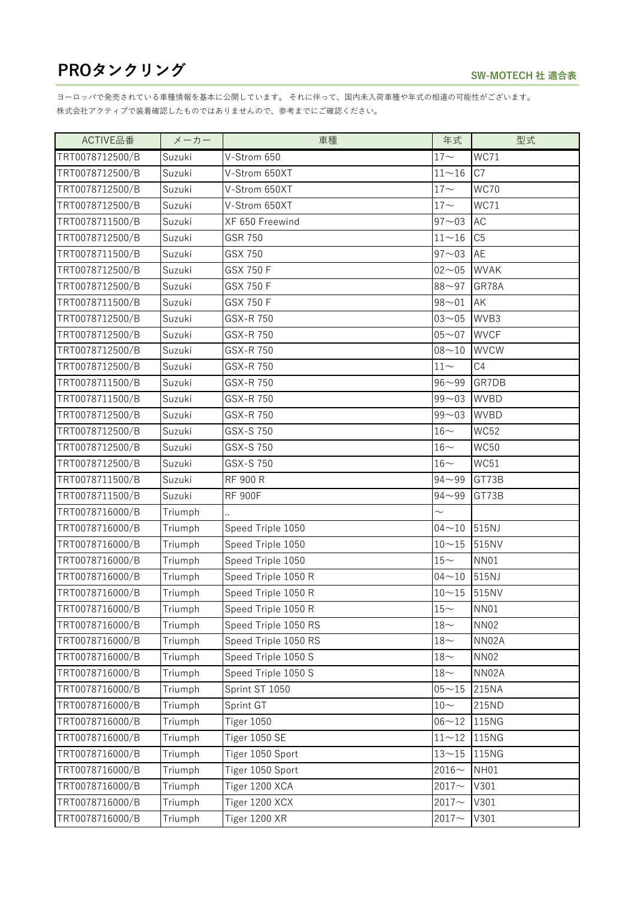| ACTIVE品番        | メーカー    | 車種                   | 年式                 | 型式             |
|-----------------|---------|----------------------|--------------------|----------------|
| TRT0078712500/B | Suzuki  | V-Strom 650          | $17\mathord{\sim}$ | WC71           |
| TRT0078712500/B | Suzuki  | V-Strom 650XT        | $11 - 16$          | C7             |
| TRT0078712500/B | Suzuki  | V-Strom 650XT        | $17 -$             | <b>WC70</b>    |
| TRT0078712500/B | Suzuki  | V-Strom 650XT        | $17 -$             | WC71           |
| TRT0078711500/B | Suzuki  | XF 650 Freewind      | $97 - 03$          | <b>AC</b>      |
| TRT0078712500/B | Suzuki  | GSR 750              | $11 - 16$          | C <sub>5</sub> |
| TRT0078711500/B | Suzuki  | GSX 750              | $97 - 03$          | AE             |
| TRT0078712500/B | Suzuki  | GSX 750 F            | $02 - 05$          | <b>WVAK</b>    |
| TRT0078712500/B | Suzuki  | GSX 750 F            | $88 - 97$          | GR78A          |
| TRT0078711500/B | Suzuki  | GSX 750 F            | $98 - 01$          | AK             |
| TRT0078712500/B | Suzuki  | GSX-R 750            | $03 - 05$          | WVB3           |
| TRT0078712500/B | Suzuki  | GSX-R 750            | $05 - 07$          | <b>WVCF</b>    |
| TRT0078712500/B | Suzuki  | GSX-R 750            | $08 - 10$          | <b>WVCW</b>    |
| TRT0078712500/B | Suzuki  | GSX-R 750            | $11\!\sim\!$       | C4             |
| TRT0078711500/B | Suzuki  | GSX-R 750            | $96 - 99$          | GR7DB          |
| TRT0078711500/B | Suzuki  | GSX-R 750            | $99 - 03$          | <b>WVBD</b>    |
| TRT0078712500/B | Suzuki  | GSX-R 750            | $99 - 03$          | <b>WVBD</b>    |
| TRT0078712500/B | Suzuki  | GSX-S 750            | $16-$              | <b>WC52</b>    |
| TRT0078712500/B | Suzuki  | GSX-S 750            | $16\mathord{\sim}$ | <b>WC50</b>    |
| TRT0078712500/B | Suzuki  | GSX-S 750            | $16\mathord{\sim}$ | WC51           |
| TRT0078711500/B | Suzuki  | <b>RF 900 R</b>      | $94 - 99$          | GT73B          |
| TRT0078711500/B | Suzuki  | <b>RF 900F</b>       | $94 - 99$          | GT73B          |
| TRT0078716000/B | Triumph |                      |                    |                |
| TRT0078716000/B | Triumph | Speed Triple 1050    | $04 - 10$          | 515NJ          |
| TRT0078716000/B | Triumph | Speed Triple 1050    | $10 - 15$          | 515NV          |
| TRT0078716000/B | Triumph | Speed Triple 1050    | $15-$              | <b>NN01</b>    |
| TRT0078716000/B | Triumph | Speed Triple 1050 R  | $04 - 10$          | 515NJ          |
| TRT0078716000/B | Triumph | Speed Triple 1050 R  | $10 - 15$          | 515NV          |
| TRT0078716000/B | Triumph | Speed Triple 1050 R  | $15-$              | NN01           |
| TRT0078716000/B | Triumph | Speed Triple 1050 RS | $18\mathord{\sim}$ | <b>NN02</b>    |
| TRT0078716000/B | Triumph | Speed Triple 1050 RS | $18-$              | NN02A          |
| TRT0078716000/B | Triumph | Speed Triple 1050 S  | $18\mathord{\sim}$ | <b>NN02</b>    |
| TRT0078716000/B | Triumph | Speed Triple 1050 S  | $18-$              | NN02A          |
| TRT0078716000/B | Triumph | Sprint ST 1050       | $05 - 15$          | 215NA          |
| TRT0078716000/B | Triumph | Sprint GT            | $10-$              | 215ND          |
| TRT0078716000/B | Triumph | <b>Tiger 1050</b>    | $06 - 12$          | 115NG          |
| TRT0078716000/B | Triumph | Tiger 1050 SE        | $11 - 12$          | 115NG          |
| TRT0078716000/B | Triumph | Tiger 1050 Sport     | $13 - 15$          | 115NG          |
| TRT0078716000/B | Triumph | Tiger 1050 Sport     | $2016 -$           | NH01           |
| TRT0078716000/B | Triumph | Tiger 1200 XCA       | $2017 -$           | V301           |
| TRT0078716000/B | Triumph | Tiger 1200 XCX       | $2017 -$           | V301           |
| TRT0078716000/B | Triumph | Tiger 1200 XR        | 2017 $\sim$        | V301           |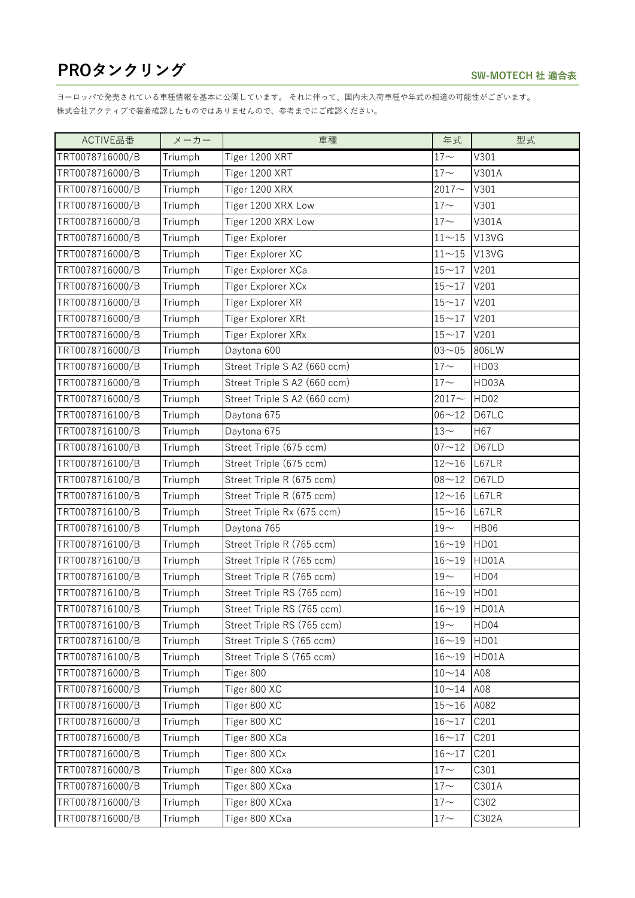| ACTIVE品番        | メーカー    | 車種                           | 年式                 | 型式          |
|-----------------|---------|------------------------------|--------------------|-------------|
| TRT0078716000/B | Triumph | Tiger 1200 XRT               | $17 -$             | V301        |
| TRT0078716000/B | Triumph | Tiger 1200 XRT               | $17 -$             | V301A       |
| TRT0078716000/B | Triumph | Tiger 1200 XRX               | $2017 -$           | V301        |
| TRT0078716000/B | Triumph | Tiger 1200 XRX Low           | $17 -$             | V301        |
| TRT0078716000/B | Triumph | Tiger 1200 XRX Low           | $17 -$             | V301A       |
| TRT0078716000/B | Triumph | Tiger Explorer               | $11 - 15$          | V13VG       |
| TRT0078716000/B | Triumph | Tiger Explorer XC            | $11 - 15$          | V13VG       |
| TRT0078716000/B | Triumph | Tiger Explorer XCa           | $15 - 17$          | V201        |
| TRT0078716000/B | Triumph | Tiger Explorer XCx           | $15 - 17$          | V201        |
| TRT0078716000/B | Triumph | Tiger Explorer XR            | $15 - 17$          | V201        |
| TRT0078716000/B | Triumph | Tiger Explorer XRt           | $15 - 17$          | V201        |
| TRT0078716000/B | Triumph | Tiger Explorer XRx           | $15 - 17$          | V201        |
| TRT0078716000/B | Triumph | Daytona 600                  | $03 - 05$          | 806LW       |
| TRT0078716000/B | Triumph | Street Triple S A2 (660 ccm) | $17 -$             | HD03        |
| TRT0078716000/B | Triumph | Street Triple S A2 (660 ccm) | $17\mathord{\sim}$ | HD03A       |
| TRT0078716000/B | Triumph | Street Triple S A2 (660 ccm) | $2017 -$           | <b>HD02</b> |
| TRT0078716100/B | Triumph | Daytona 675                  | $06 - 12$          | D67LC       |
| TRT0078716100/B | Triumph | Daytona 675                  | $13-$              | H67         |
| TRT0078716100/B | Triumph | Street Triple (675 ccm)      | $07 - 12$          | D67LD       |
| TRT0078716100/B | Triumph | Street Triple (675 ccm)      | $12 - 16$          | L67LR       |
| TRT0078716100/B | Triumph | Street Triple R (675 ccm)    | $08 - 12$          | D67LD       |
| TRT0078716100/B | Triumph | Street Triple R (675 ccm)    | $12 - 16$          | L67LR       |
| TRT0078716100/B | Triumph | Street Triple Rx (675 ccm)   | $15 - 16$          | L67LR       |
| TRT0078716100/B | Triumph | Daytona 765                  | $19-$              | <b>HB06</b> |
| TRT0078716100/B | Triumph | Street Triple R (765 ccm)    | $16 - 19$          | HD01        |
| TRT0078716100/B | Triumph | Street Triple R (765 ccm)    | $16 - 19$          | HD01A       |
| TRT0078716100/B | Triumph | Street Triple R (765 ccm)    | $19-$              | HD04        |
| TRT0078716100/B | Triumph | Street Triple RS (765 ccm)   | $16 - 19$          | HD01        |
| TRT0078716100/B | Triumph | Street Triple RS (765 ccm)   | 16~19 HD01A        |             |
| TRT0078716100/B | Triumph | Street Triple RS (765 ccm)   | $19-$              | HD04        |
| TRT0078716100/B | Triumph | Street Triple S (765 ccm)    | $16 - 19$          | HD01        |
| TRT0078716100/B | Triumph | Street Triple S (765 ccm)    | $16 - 19$          | HD01A       |
| TRT0078716000/B | Triumph | Tiger 800                    | $10 - 14$          | A08         |
| TRT0078716000/B | Triumph | Tiger 800 XC                 | $10 - 14$          | A08         |
| TRT0078716000/B | Triumph | Tiger 800 XC                 | $15 - 16$          | A082        |
| TRT0078716000/B | Triumph | Tiger 800 XC                 | $16 - 17$          | C201        |
| TRT0078716000/B | Triumph | Tiger 800 XCa                | $16 - 17$          | C201        |
| TRT0078716000/B | Triumph | Tiger 800 XCx                | $16 - 17$          | C201        |
| TRT0078716000/B | Triumph | Tiger 800 XCxa               | $17 -$             | C301        |
| TRT0078716000/B | Triumph | Tiger 800 XCxa               | $17 -$             | C301A       |
| TRT0078716000/B | Triumph | Tiger 800 XCxa               | $17 -$             | C302        |
| TRT0078716000/B | Triumph | Tiger 800 XCxa               | $17\mathord{\sim}$ | C302A       |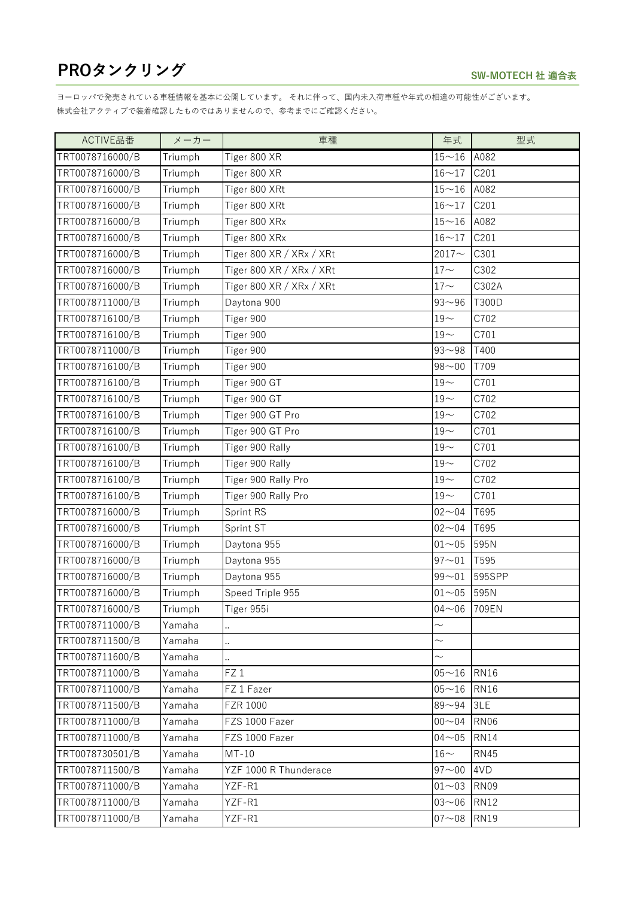| ACTIVE品番        | メーカー    | 車種                       | 年式              | 型式          |
|-----------------|---------|--------------------------|-----------------|-------------|
| TRT0078716000/B | Triumph | Tiger 800 XR             | $15 - 16$       | A082        |
| TRT0078716000/B | Triumph | Tiger 800 XR             | $16 - 17$       | C201        |
| TRT0078716000/B | Triumph | Tiger 800 XRt            | $15 - 16$       | A082        |
| TRT0078716000/B | Triumph | Tiger 800 XRt            | $16 - 17$       | C201        |
| TRT0078716000/B | Triumph | Tiger 800 XRx            | $15 - 16$       | A082        |
| TRT0078716000/B | Triumph | Tiger 800 XRx            | $16 - 17$       | C201        |
| TRT0078716000/B | Triumph | Tiger 800 XR / XRx / XRt | $2017 -$        | C301        |
| TRT0078716000/B | Triumph | Tiger 800 XR / XRx / XRt | $17 -$          | C302        |
| TRT0078716000/B | Triumph | Tiger 800 XR / XRx / XRt | $17 -$          | C302A       |
| TRT0078711000/B | Triumph | Daytona 900              | $93 - 96$       | T300D       |
| TRT0078716100/B | Triumph | Tiger 900                | $19-$           | C702        |
| TRT0078716100/B | Triumph | Tiger 900                | $19-$           | C701        |
| TRT0078711000/B | Triumph | Tiger 900                | $93 - 98$       | T400        |
| TRT0078716100/B | Triumph | Tiger 900                | $98 - 00$       | T709        |
| TRT0078716100/B | Triumph | Tiger 900 GT             | $19-$           | C701        |
| TRT0078716100/B | Triumph | Tiger 900 GT             | $19-$           | C702        |
| TRT0078716100/B | Triumph | Tiger 900 GT Pro         | $19-$           | C702        |
| TRT0078716100/B | Triumph | Tiger 900 GT Pro         | $19-$           | C701        |
| TRT0078716100/B | Triumph | Tiger 900 Rally          | $19-$           | C701        |
| TRT0078716100/B | Triumph | Tiger 900 Rally          | $19-$           | C702        |
| TRT0078716100/B | Triumph | Tiger 900 Rally Pro      | $19-$           | C702        |
| TRT0078716100/B | Triumph | Tiger 900 Rally Pro      | $19-$           | C701        |
| TRT0078716000/B | Triumph | Sprint RS                | $02 - 04$       | T695        |
| TRT0078716000/B | Triumph | Sprint ST                | $02 - 04$       | T695        |
| TRT0078716000/B | Triumph | Daytona 955              | $01 - 05$       | 595N        |
| TRT0078716000/B | Triumph | Daytona 955              | $97 - 01$       | T595        |
| TRT0078716000/B | Triumph | Daytona 955              | $99 - 01$       | 595SPP      |
| TRT0078716000/B | Triumph | Speed Triple 955         | $01 - 05$       | 595N        |
| TRT0078716000/B | Triumph | Tiger 955i               | $04 - 06$ 709EN |             |
| TRT0078711000/B | Yamaha  |                          | $\sim$          |             |
| TRT0078711500/B | Yamaha  | ä.                       | $\sim$          |             |
| TRT0078711600/B | Yamaha  |                          | $\sim$          |             |
| TRT0078711000/B | Yamaha  | FZ <sub>1</sub>          | $05 - 16$       | <b>RN16</b> |
| TRT0078711000/B | Yamaha  | FZ 1 Fazer               | $05 - 16$       | <b>RN16</b> |
| TRT0078711500/B | Yamaha  | FZR 1000                 | $89 - 94$       | 3LE         |
| TRT0078711000/B | Yamaha  | FZS 1000 Fazer           | $00 - 04$       | <b>RN06</b> |
| TRT0078711000/B | Yamaha  | FZS 1000 Fazer           | $04 - 05$       | <b>RN14</b> |
| TRT0078730501/B | Yamaha  | $MT-10$                  | $16-$           | <b>RN45</b> |
| TRT0078711500/B | Yamaha  | YZF 1000 R Thunderace    | $97 - 00$       | 4VD         |
| TRT0078711000/B | Yamaha  | YZF-R1                   | $01 - 03$       | <b>RN09</b> |
| TRT0078711000/B | Yamaha  | YZF-R1                   | $03 - 06$       | <b>RN12</b> |
| TRT0078711000/B | Yamaha  | YZF-R1                   | $07 - 08$       | <b>RN19</b> |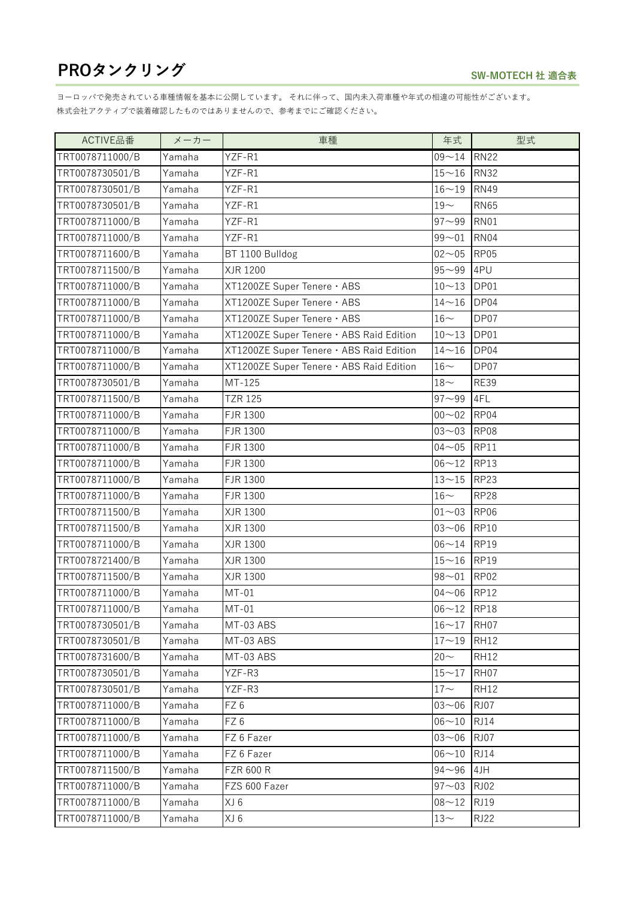| ACTIVE品番        | メーカー   | 車種                                       | 年式                  | 型式          |
|-----------------|--------|------------------------------------------|---------------------|-------------|
| TRT0078711000/B | Yamaha | YZF-R1                                   | $09 - 14$           | <b>RN22</b> |
| TRT0078730501/B | Yamaha | YZF-R1                                   | $15 - 16$           | <b>RN32</b> |
| TRT0078730501/B | Yamaha | YZF-R1                                   | $16 - 19$           | <b>RN49</b> |
| TRT0078730501/B | Yamaha | YZF-R1                                   | $19-$               | <b>RN65</b> |
| TRT0078711000/B | Yamaha | YZF-R1                                   | $97 - 99$           | <b>RN01</b> |
| TRT0078711000/B | Yamaha | YZF-R1                                   | $99 - 01$           | <b>RN04</b> |
| TRT0078711600/B | Yamaha | BT 1100 Bulldog                          | $02 - 05$           | <b>RP05</b> |
| TRT0078711500/B | Yamaha | XJR 1200                                 | $95 - 99$           | 4PU         |
| TRT0078711000/B | Yamaha | XT1200ZE Super Tenere · ABS              | $10 - 13$           | DP01        |
| TRT0078711000/B | Yamaha | XT1200ZE Super Tenere · ABS              | $14 - 16$           | DP04        |
| TRT0078711000/B | Yamaha | XT1200ZE Super Tenere · ABS              | $16-$               | DP07        |
| TRT0078711000/B | Yamaha | XT1200ZE Super Tenere · ABS Raid Edition | $10 - 13$           | DP01        |
| TRT0078711000/B | Yamaha | XT1200ZE Super Tenere · ABS Raid Edition | $14 - 16$           | DP04        |
| TRT0078711000/B | Yamaha | XT1200ZE Super Tenere · ABS Raid Edition | $16\mathord{\sim}$  | DP07        |
| TRT0078730501/B | Yamaha | MT-125                                   | $18\mathord{\sim}$  | <b>RE39</b> |
| TRT0078711500/B | Yamaha | <b>TZR 125</b>                           | $97 - 99$           | 4FL         |
| TRT0078711000/B | Yamaha | FJR 1300                                 | $00 - 02$           | RP04        |
| TRT0078711000/B | Yamaha | FJR 1300                                 | $03 - 03$           | <b>RP08</b> |
| TRT0078711000/B | Yamaha | FJR 1300                                 | $04 - 05$           | <b>RP11</b> |
| TRT0078711000/B | Yamaha | FJR 1300                                 | $06 - 12$           | <b>RP13</b> |
| TRT0078711000/B | Yamaha | FJR 1300                                 | $13 - 15$           | <b>RP23</b> |
| TRT0078711000/B | Yamaha | FJR 1300                                 | $16\mathord{\sim}$  | <b>RP28</b> |
| TRT0078711500/B | Yamaha | XJR 1300                                 | $01 - 03$           | <b>RP06</b> |
| TRT0078711500/B | Yamaha | XJR 1300                                 | $03 - 06$           | <b>RP10</b> |
| TRT0078711000/B | Yamaha | XJR 1300                                 | $06 - 14$           | <b>RP19</b> |
| TRT0078721400/B | Yamaha | XJR 1300                                 | $15\mathtt{\sim}16$ | <b>RP19</b> |
| TRT0078711500/B | Yamaha | XJR 1300                                 | $98 - 01$           | RP02        |
| TRT0078711000/B | Yamaha | $MT-01$                                  | $04 - 06$           | <b>RP12</b> |
| TRT0078711000/B | Yamaha | $MT-01$                                  | 06~12 RP18          |             |
| TRT0078730501/B | Yamaha | MT-03 ABS                                | $16 - 17$           | RH07        |
| TRT0078730501/B | Yamaha | MT-03 ABS                                | $17 - 19$           | <b>RH12</b> |
| TRT0078731600/B | Yamaha | MT-03 ABS                                | $20 -$              | <b>RH12</b> |
| TRT0078730501/B | Yamaha | YZF-R3                                   | $15 - 17$           | RH07        |
| TRT0078730501/B | Yamaha | YZF-R3                                   | $17\mathord{\sim}$  | <b>RH12</b> |
| TRT0078711000/B | Yamaha | FZ6                                      | $03 - 06$           | <b>RJ07</b> |
| TRT0078711000/B | Yamaha | FZ 6                                     | $06 - 10$           | <b>RJ14</b> |
| TRT0078711000/B | Yamaha | FZ 6 Fazer                               | $03 - 06$           | <b>RJ07</b> |
| TRT0078711000/B | Yamaha | FZ 6 Fazer                               | $06 - 10$           | <b>RJ14</b> |
| TRT0078711500/B | Yamaha | <b>FZR 600 R</b>                         | $94 - 96$           | 4JH         |
| TRT0078711000/B | Yamaha | FZS 600 Fazer                            | $97 - 03$           | <b>RJ02</b> |
| TRT0078711000/B | Yamaha | XJ 6                                     | $08 - 12$           | <b>RJ19</b> |
| TRT0078711000/B | Yamaha | XJ 6                                     | $13\mathord{\sim}$  | <b>RJ22</b> |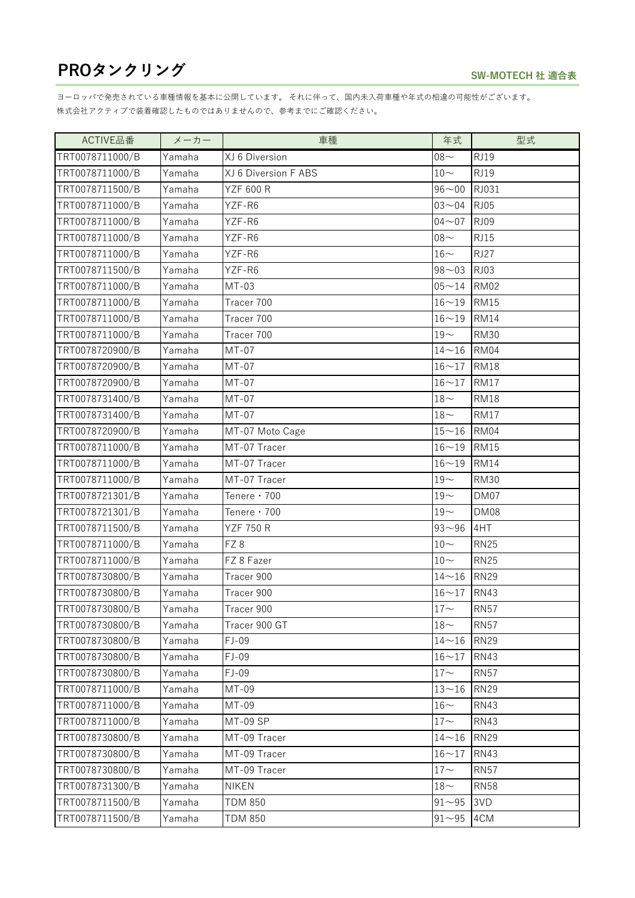| ACTIVE品番        | メーカー   | 車種                   | 年式                 | 型式          |
|-----------------|--------|----------------------|--------------------|-------------|
| TRT0078711000/B | Yamaha | XJ 6 Diversion       | $08 -$             | <b>RJ19</b> |
| TRT0078711000/B | Yamaha | XJ 6 Diversion F ABS | $10-$              | <b>RJ19</b> |
| TRT0078711500/B | Yamaha | <b>YZF 600 R</b>     | $96 - 00$          | RJ031       |
| TRT0078711000/B | Yamaha | YZF-R6               | $03 - 04$          | <b>RJ05</b> |
| TRT0078711000/B | Yamaha | YZF-R6               | $04 - 07$          | <b>RJ09</b> |
| TRT0078711000/B | Yamaha | YZF-R6               | $08 -$             | <b>RJ15</b> |
| TRT0078711000/B | Yamaha | YZF-R6               | $16-$              | <b>RJ27</b> |
| TRT0078711500/B | Yamaha | YZF-R6               | $98 - 03$          | <b>RJ03</b> |
| TRT0078711000/B | Yamaha | $MT-03$              | $05 - 14$          | <b>RM02</b> |
| TRT0078711000/B | Yamaha | Tracer 700           | $16 - 19$          | <b>RM15</b> |
| TRT0078711000/B | Yamaha | Tracer 700           | $16 - 19$          | <b>RM14</b> |
| TRT0078711000/B | Yamaha | Tracer 700           | $19-$              | <b>RM30</b> |
| TRT0078720900/B | Yamaha | $MT-07$              | $14 - 16$          | <b>RM04</b> |
| TRT0078720900/B | Yamaha | $MT-07$              | $16 - 17$          | <b>RM18</b> |
| TRT0078720900/B | Yamaha | $MT-07$              | $16 - 17$          | <b>RM17</b> |
| TRT0078731400/B | Yamaha | $MT-07$              | $18-$              | <b>RM18</b> |
| TRT0078731400/B | Yamaha | $MT-07$              | $18-$              | <b>RM17</b> |
| TRT0078720900/B | Yamaha | MT-07 Moto Cage      | $15 - 16$          | <b>RM04</b> |
| TRT0078711000/B | Yamaha | MT-07 Tracer         | $16 - 19$          | <b>RM15</b> |
| TRT0078711000/B | Yamaha | MT-07 Tracer         | $16 - 19$          | <b>RM14</b> |
| TRT0078711000/B | Yamaha | MT-07 Tracer         | $19-$              | <b>RM30</b> |
| TRT0078721301/B | Yamaha | Tenere $\cdot$ 700   | $19-$              | DM07        |
| TRT0078721301/B | Yamaha | Tenere $\cdot$ 700   | $19-$              | <b>DM08</b> |
| TRT0078711500/B | Yamaha | <b>YZF 750 R</b>     | $93 - 96$          | 4HT         |
| TRT0078711000/B | Yamaha | FZ8                  | $10-$              | <b>RN25</b> |
| TRT0078711000/B | Yamaha | FZ 8 Fazer           | $10-$              | <b>RN25</b> |
| TRT0078730800/B | Yamaha | Tracer 900           | $14 - 16$          | <b>RN29</b> |
| TRT0078730800/B | Yamaha | Tracer 900           | $16 - 17$          | <b>RN43</b> |
| TRT0078730800/B | Yamaha | Tracer 900           | $17 -$             | <b>RN57</b> |
| TRT0078730800/B | Yamaha | Tracer 900 GT        | $18-$              | <b>RN57</b> |
| TRT0078730800/B | Yamaha | $FJ-09$              | $14 - 16$          | <b>RN29</b> |
| TRT0078730800/B | Yamaha | $FJ-09$              | $16 - 17$          | <b>RN43</b> |
| TRT0078730800/B | Yamaha | $FJ-09$              | $17 -$             | <b>RN57</b> |
| TRT0078711000/B | Yamaha | MT-09                | $13 - 16$          | <b>RN29</b> |
| TRT0078711000/B | Yamaha | MT-09                | $16-$              | <b>RN43</b> |
| TRT0078711000/B | Yamaha | MT-09 SP             | $17\mathord{\sim}$ | <b>RN43</b> |
| TRT0078730800/B | Yamaha | MT-09 Tracer         | $14 - 16$          | <b>RN29</b> |
| TRT0078730800/B | Yamaha | MT-09 Tracer         | $16 - 17$          | <b>RN43</b> |
| TRT0078730800/B | Yamaha | MT-09 Tracer         | $17\mathord{\sim}$ | <b>RN57</b> |
| TRT0078731300/B | Yamaha | NIKEN                | $18\mathord{\sim}$ | <b>RN58</b> |
| TRT0078711500/B | Yamaha | <b>TDM 850</b>       | $91 - 95$          | 3VD         |
| TRT0078711500/B | Yamaha | <b>TDM 850</b>       | $91 - 95$          | 4CM         |